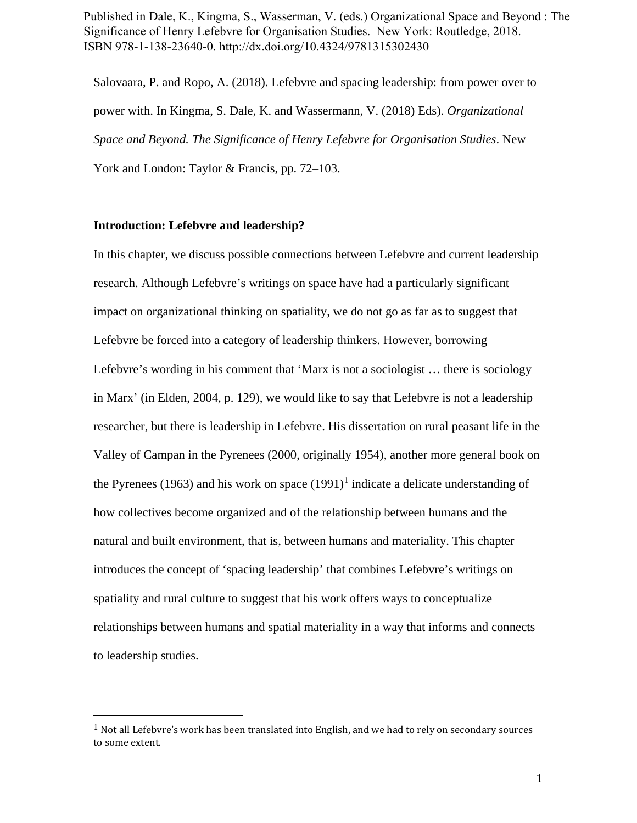Published in Dale, K., Kingma, S., Wasserman, V. (eds.) Organizational Space and Beyond : The Significance of Henry Lefebvre for Organisation Studies. New York: Routledge, 2018. ISBN 978-1-138-23640-0. http://dx.doi.org/10.4324/9781315302430

Salovaara, P. and Ropo, A. (2018). Lefebvre and spacing leadership: from power over to power with. In Kingma, S. Dale, K. and Wassermann, V. (2018) Eds). *Organizational Space and Beyond. The Significance of Henry Lefebvre for Organisation Studies*. New York and London: Taylor & Francis, pp. 72–103.

### **Introduction: Lefebvre and leadership?**

In this chapter, we discuss possible connections between Lefebvre and current leadership research. Although Lefebvre's writings on space have had a particularly significant impact on organizational thinking on spatiality, we do not go as far as to suggest that Lefebvre be forced into a category of leadership thinkers. However, borrowing Lefebvre's wording in his comment that 'Marx is not a sociologist … there is sociology in Marx' (in Elden, 2004, p. 129), we would like to say that Lefebvre is not a leadership researcher, but there is leadership in Lefebvre. His dissertation on rural peasant life in the Valley of Campan in the Pyrenees (2000, originally 1954), another more general book on the Pyrenees ([1](#page-0-0)963) and his work on space  $(1991)^1$  indicate a delicate understanding of how collectives become organized and of the relationship between humans and the natural and built environment, that is, between humans and materiality. This chapter introduces the concept of 'spacing leadership' that combines Lefebvre's writings on spatiality and rural culture to suggest that his work offers ways to conceptualize relationships between humans and spatial materiality in a way that informs and connects to leadership studies.

<span id="page-0-0"></span> $1$  Not all Lefebvre's work has been translated into English, and we had to rely on secondary sources to some extent.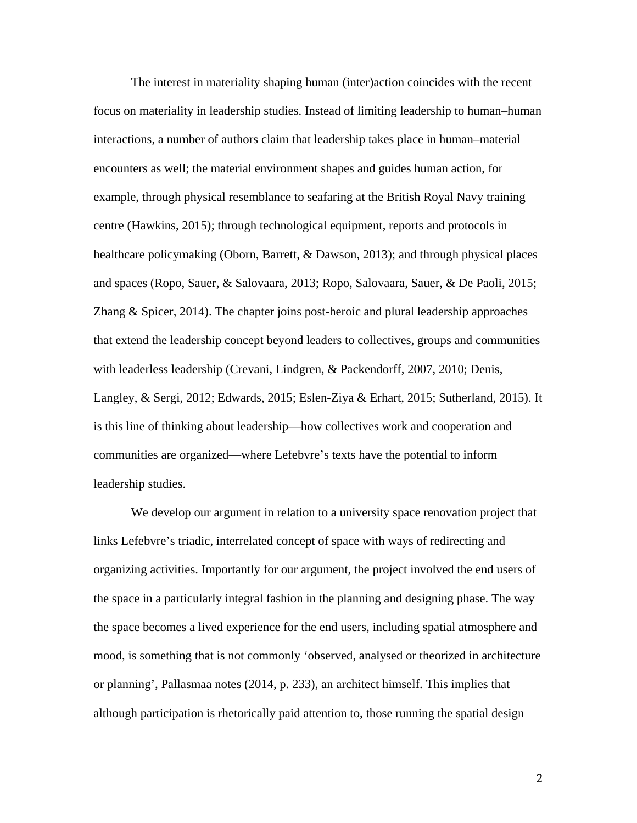The interest in materiality shaping human (inter)action coincides with the recent focus on materiality in leadership studies. Instead of limiting leadership to human–human interactions, a number of authors claim that leadership takes place in human–material encounters as well; the material environment shapes and guides human action, for example, through physical resemblance to seafaring at the British Royal Navy training centre (Hawkins, 2015); through technological equipment, reports and protocols in healthcare policymaking (Oborn, Barrett, & Dawson, 2013); and through physical places and spaces (Ropo, Sauer, & Salovaara, 2013; Ropo, Salovaara, Sauer, & De Paoli, 2015; Zhang & Spicer, 2014). The chapter joins post-heroic and plural leadership approaches that extend the leadership concept beyond leaders to collectives, groups and communities with leaderless leadership (Crevani, Lindgren, & Packendorff, 2007, 2010; Denis, Langley, & Sergi, 2012; Edwards, 2015; Eslen-Ziya & Erhart, 2015; Sutherland, 2015). It is this line of thinking about leadership—how collectives work and cooperation and communities are organized—where Lefebvre's texts have the potential to inform leadership studies.

We develop our argument in relation to a university space renovation project that links Lefebvre's triadic, interrelated concept of space with ways of redirecting and organizing activities. Importantly for our argument, the project involved the end users of the space in a particularly integral fashion in the planning and designing phase. The way the space becomes a lived experience for the end users, including spatial atmosphere and mood, is something that is not commonly 'observed, analysed or theorized in architecture or planning', Pallasmaa notes (2014, p. 233), an architect himself. This implies that although participation is rhetorically paid attention to, those running the spatial design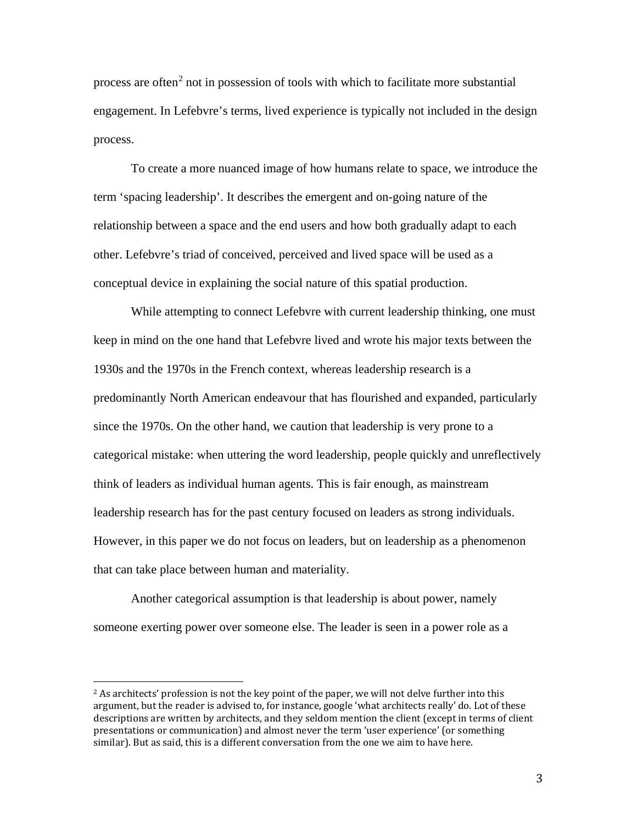process are often<sup>[2](#page-2-0)</sup> not in possession of tools with which to facilitate more substantial engagement. In Lefebvre's terms, lived experience is typically not included in the design process.

To create a more nuanced image of how humans relate to space, we introduce the term 'spacing leadership'. It describes the emergent and on-going nature of the relationship between a space and the end users and how both gradually adapt to each other. Lefebvre's triad of conceived, perceived and lived space will be used as a conceptual device in explaining the social nature of this spatial production.

While attempting to connect Lefebvre with current leadership thinking, one must keep in mind on the one hand that Lefebvre lived and wrote his major texts between the 1930s and the 1970s in the French context, whereas leadership research is a predominantly North American endeavour that has flourished and expanded, particularly since the 1970s. On the other hand, we caution that leadership is very prone to a categorical mistake: when uttering the word leadership, people quickly and unreflectively think of leaders as individual human agents. This is fair enough, as mainstream leadership research has for the past century focused on leaders as strong individuals. However, in this paper we do not focus on leaders, but on leadership as a phenomenon that can take place between human and materiality.

Another categorical assumption is that leadership is about power, namely someone exerting power over someone else. The leader is seen in a power role as a

<span id="page-2-0"></span> $2$  As architects' profession is not the key point of the paper, we will not delve further into this argument, but the reader is advised to, for instance, google 'what architects really' do. Lot of these descriptions are written by architects, and they seldom mention the client (except in terms of client presentations or communication) and almost never the term 'user experience' (or something similar). But as said, this is a different conversation from the one we aim to have here.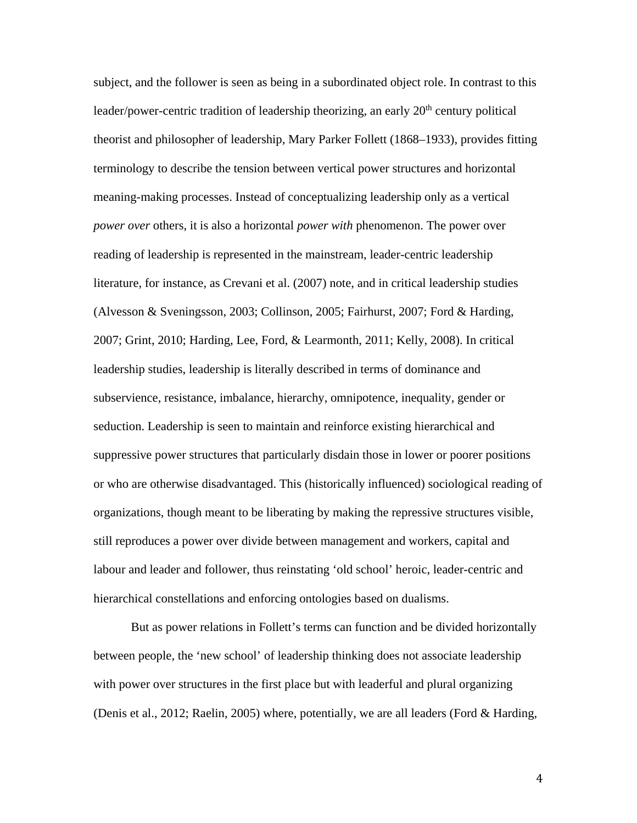subject, and the follower is seen as being in a subordinated object role. In contrast to this leader/power-centric tradition of leadership theorizing, an early  $20<sup>th</sup>$  century political theorist and philosopher of leadership, Mary Parker Follett (1868–1933), provides fitting terminology to describe the tension between vertical power structures and horizontal meaning-making processes. Instead of conceptualizing leadership only as a vertical *power over* others, it is also a horizontal *power with* phenomenon. The power over reading of leadership is represented in the mainstream, leader-centric leadership literature, for instance, as Crevani et al. (2007) note, and in critical leadership studies (Alvesson & Sveningsson, 2003; Collinson, 2005; Fairhurst, 2007; Ford & Harding, 2007; Grint, 2010; Harding, Lee, Ford, & Learmonth, 2011; Kelly, 2008). In critical leadership studies, leadership is literally described in terms of dominance and subservience, resistance, imbalance, hierarchy, omnipotence, inequality, gender or seduction. Leadership is seen to maintain and reinforce existing hierarchical and suppressive power structures that particularly disdain those in lower or poorer positions or who are otherwise disadvantaged. This (historically influenced) sociological reading of organizations, though meant to be liberating by making the repressive structures visible, still reproduces a power over divide between management and workers, capital and labour and leader and follower, thus reinstating 'old school' heroic, leader-centric and hierarchical constellations and enforcing ontologies based on dualisms.

But as power relations in Follett's terms can function and be divided horizontally between people, the 'new school' of leadership thinking does not associate leadership with power over structures in the first place but with leaderful and plural organizing (Denis et al., 2012; Raelin, 2005) where, potentially, we are all leaders (Ford & Harding,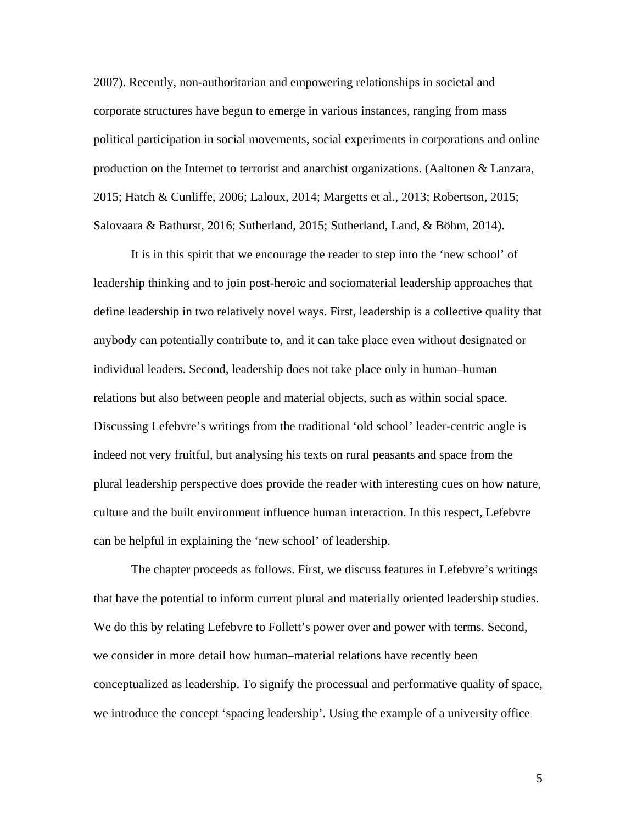2007). Recently, non-authoritarian and empowering relationships in societal and corporate structures have begun to emerge in various instances, ranging from mass political participation in social movements, social experiments in corporations and online production on the Internet to terrorist and anarchist organizations. (Aaltonen & Lanzara, 2015; Hatch & Cunliffe, 2006; Laloux, 2014; Margetts et al., 2013; Robertson, 2015; Salovaara & Bathurst, 2016; Sutherland, 2015; Sutherland, Land, & Böhm, 2014).

It is in this spirit that we encourage the reader to step into the 'new school' of leadership thinking and to join post-heroic and sociomaterial leadership approaches that define leadership in two relatively novel ways. First, leadership is a collective quality that anybody can potentially contribute to, and it can take place even without designated or individual leaders. Second, leadership does not take place only in human–human relations but also between people and material objects, such as within social space. Discussing Lefebvre's writings from the traditional 'old school' leader-centric angle is indeed not very fruitful, but analysing his texts on rural peasants and space from the plural leadership perspective does provide the reader with interesting cues on how nature, culture and the built environment influence human interaction. In this respect, Lefebvre can be helpful in explaining the 'new school' of leadership.

The chapter proceeds as follows. First, we discuss features in Lefebvre's writings that have the potential to inform current plural and materially oriented leadership studies. We do this by relating Lefebvre to Follett's power over and power with terms. Second, we consider in more detail how human–material relations have recently been conceptualized as leadership. To signify the processual and performative quality of space, we introduce the concept 'spacing leadership'. Using the example of a university office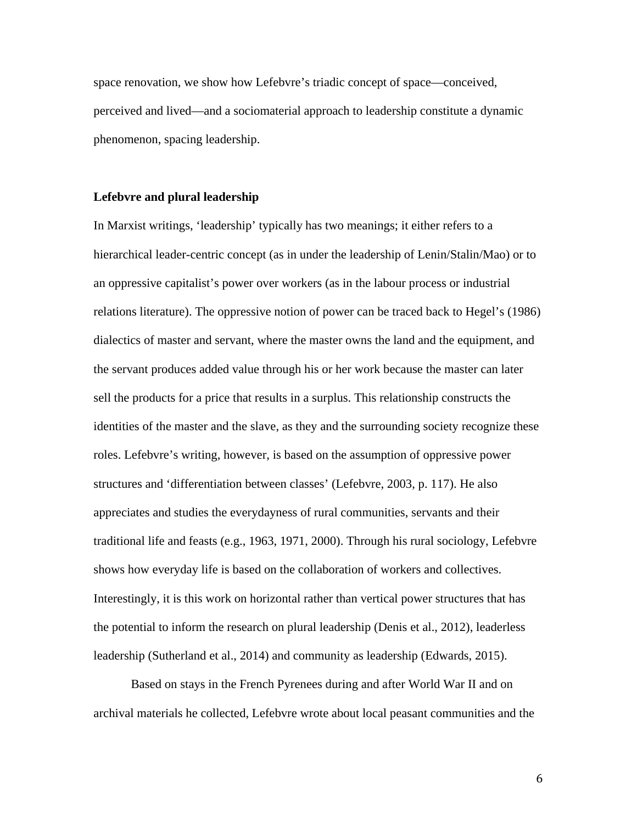space renovation, we show how Lefebvre's triadic concept of space—conceived, perceived and lived—and a sociomaterial approach to leadership constitute a dynamic phenomenon, spacing leadership.

### **Lefebvre and plural leadership**

In Marxist writings, 'leadership' typically has two meanings; it either refers to a hierarchical leader-centric concept (as in under the leadership of Lenin/Stalin/Mao) or to an oppressive capitalist's power over workers (as in the labour process or industrial relations literature). The oppressive notion of power can be traced back to Hegel's (1986) dialectics of master and servant, where the master owns the land and the equipment, and the servant produces added value through his or her work because the master can later sell the products for a price that results in a surplus. This relationship constructs the identities of the master and the slave, as they and the surrounding society recognize these roles. Lefebvre's writing, however, is based on the assumption of oppressive power structures and 'differentiation between classes' (Lefebvre, 2003, p. 117). He also appreciates and studies the everydayness of rural communities, servants and their traditional life and feasts (e.g., 1963, 1971, 2000). Through his rural sociology, Lefebvre shows how everyday life is based on the collaboration of workers and collectives. Interestingly, it is this work on horizontal rather than vertical power structures that has the potential to inform the research on plural leadership (Denis et al., 2012), leaderless leadership (Sutherland et al., 2014) and community as leadership (Edwards, 2015).

Based on stays in the French Pyrenees during and after World War II and on archival materials he collected, Lefebvre wrote about local peasant communities and the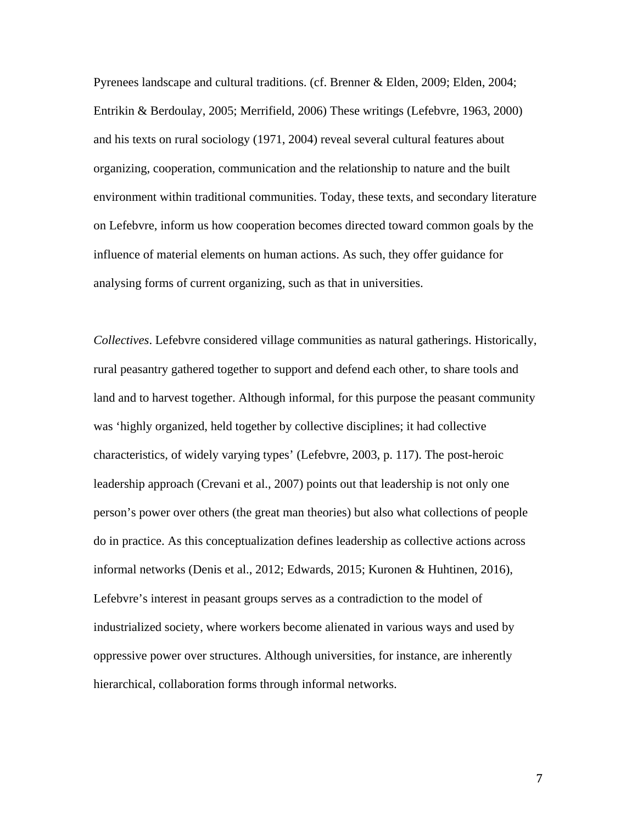Pyrenees landscape and cultural traditions. (cf. Brenner & Elden, 2009; Elden, 2004; Entrikin & Berdoulay, 2005; Merrifield, 2006) These writings (Lefebvre, 1963, 2000) and his texts on rural sociology (1971, 2004) reveal several cultural features about organizing, cooperation, communication and the relationship to nature and the built environment within traditional communities. Today, these texts, and secondary literature on Lefebvre, inform us how cooperation becomes directed toward common goals by the influence of material elements on human actions. As such, they offer guidance for analysing forms of current organizing, such as that in universities.

*Collectives*. Lefebvre considered village communities as natural gatherings. Historically, rural peasantry gathered together to support and defend each other, to share tools and land and to harvest together. Although informal, for this purpose the peasant community was 'highly organized, held together by collective disciplines; it had collective characteristics*,* of widely varying types' (Lefebvre, 2003, p. 117). The post-heroic leadership approach (Crevani et al., 2007) points out that leadership is not only one person's power over others (the great man theories) but also what collections of people do in practice. As this conceptualization defines leadership as collective actions across informal networks (Denis et al., 2012; Edwards, 2015; Kuronen & Huhtinen, 2016), Lefebvre's interest in peasant groups serves as a contradiction to the model of industrialized society, where workers become alienated in various ways and used by oppressive power over structures. Although universities, for instance, are inherently hierarchical, collaboration forms through informal networks.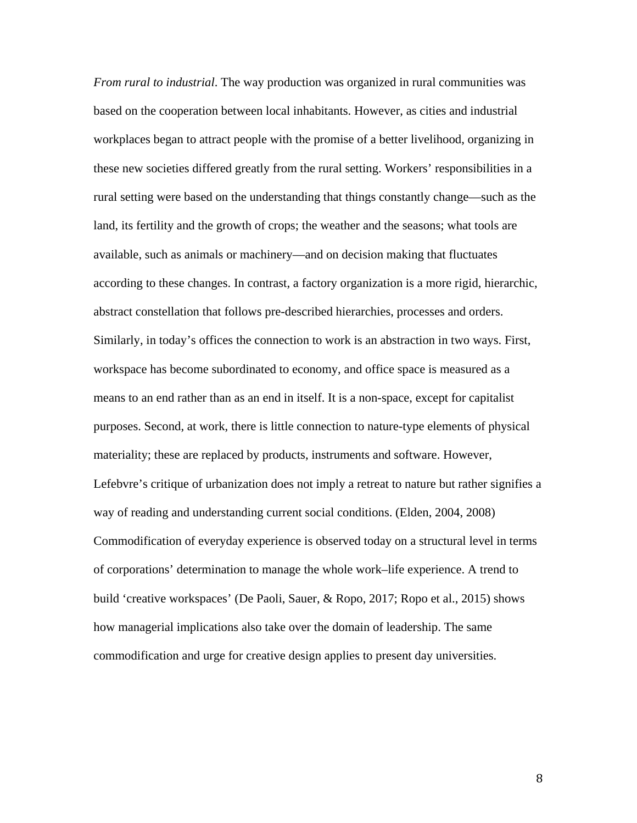*From rural to industrial*. The way production was organized in rural communities was based on the cooperation between local inhabitants. However, as cities and industrial workplaces began to attract people with the promise of a better livelihood, organizing in these new societies differed greatly from the rural setting. Workers' responsibilities in a rural setting were based on the understanding that things constantly change—such as the land, its fertility and the growth of crops; the weather and the seasons; what tools are available, such as animals or machinery—and on decision making that fluctuates according to these changes. In contrast, a factory organization is a more rigid, hierarchic, abstract constellation that follows pre-described hierarchies, processes and orders. Similarly, in today's offices the connection to work is an abstraction in two ways. First, workspace has become subordinated to economy, and office space is measured as a means to an end rather than as an end in itself. It is a non-space, except for capitalist purposes. Second, at work, there is little connection to nature-type elements of physical materiality; these are replaced by products, instruments and software. However, Lefebvre's critique of urbanization does not imply a retreat to nature but rather signifies a way of reading and understanding current social conditions. (Elden, 2004, 2008) Commodification of everyday experience is observed today on a structural level in terms of corporations' determination to manage the whole work–life experience. A trend to build 'creative workspaces' (De Paoli, Sauer, & Ropo, 2017; Ropo et al., 2015) shows how managerial implications also take over the domain of leadership. The same commodification and urge for creative design applies to present day universities.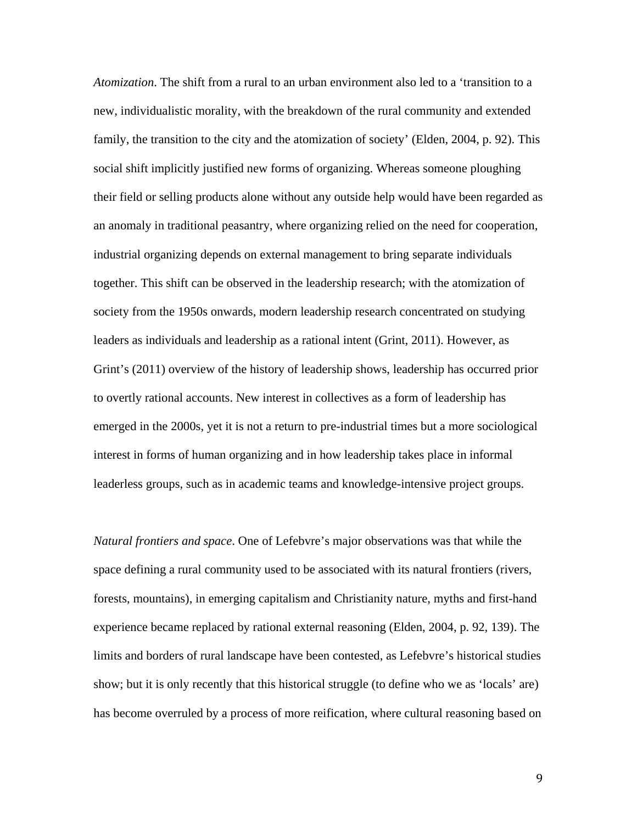*Atomization*. The shift from a rural to an urban environment also led to a 'transition to a new, individualistic morality, with the breakdown of the rural community and extended family, the transition to the city and the atomization of society' (Elden, 2004, p. 92). This social shift implicitly justified new forms of organizing. Whereas someone ploughing their field or selling products alone without any outside help would have been regarded as an anomaly in traditional peasantry, where organizing relied on the need for cooperation, industrial organizing depends on external management to bring separate individuals together. This shift can be observed in the leadership research; with the atomization of society from the 1950s onwards, modern leadership research concentrated on studying leaders as individuals and leadership as a rational intent (Grint, 2011). However, as Grint's (2011) overview of the history of leadership shows, leadership has occurred prior to overtly rational accounts. New interest in collectives as a form of leadership has emerged in the 2000s, yet it is not a return to pre-industrial times but a more sociological interest in forms of human organizing and in how leadership takes place in informal leaderless groups, such as in academic teams and knowledge-intensive project groups.

*Natural frontiers and space*. One of Lefebvre's major observations was that while the space defining a rural community used to be associated with its natural frontiers (rivers, forests, mountains), in emerging capitalism and Christianity nature, myths and first-hand experience became replaced by rational external reasoning (Elden, 2004, p. 92, 139). The limits and borders of rural landscape have been contested, as Lefebvre's historical studies show; but it is only recently that this historical struggle (to define who we as 'locals' are) has become overruled by a process of more reification, where cultural reasoning based on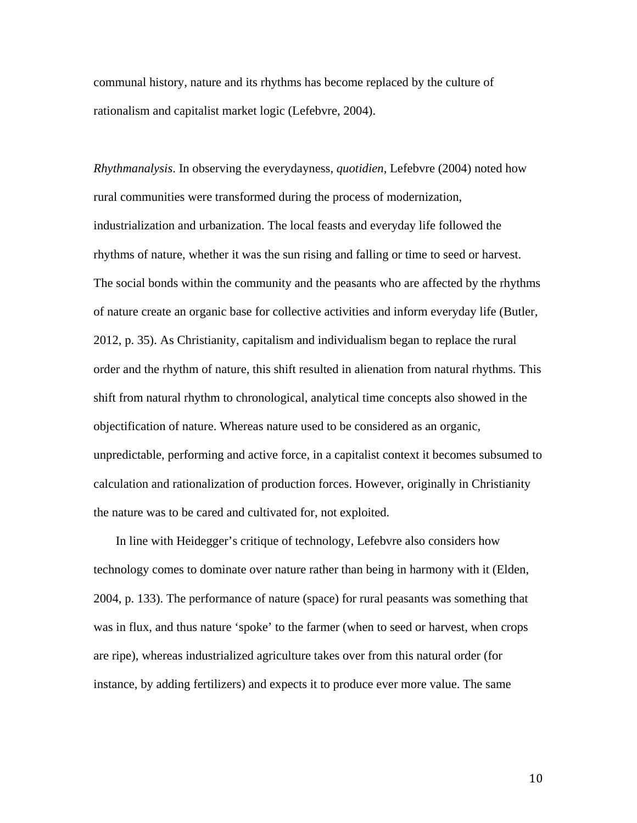communal history, nature and its rhythms has become replaced by the culture of rationalism and capitalist market logic (Lefebvre, 2004).

*Rhythmanalysis*. In observing the everydayness, *quotidien*, Lefebvre (2004) noted how rural communities were transformed during the process of modernization, industrialization and urbanization. The local feasts and everyday life followed the rhythms of nature, whether it was the sun rising and falling or time to seed or harvest. The social bonds within the community and the peasants who are affected by the rhythms of nature create an organic base for collective activities and inform everyday life (Butler, 2012, p. 35). As Christianity, capitalism and individualism began to replace the rural order and the rhythm of nature, this shift resulted in alienation from natural rhythms. This shift from natural rhythm to chronological, analytical time concepts also showed in the objectification of nature. Whereas nature used to be considered as an organic, unpredictable, performing and active force, in a capitalist context it becomes subsumed to calculation and rationalization of production forces. However, originally in Christianity the nature was to be cared and cultivated for, not exploited.

In line with Heidegger's critique of technology, Lefebvre also considers how technology comes to dominate over nature rather than being in harmony with it (Elden, 2004, p. 133). The performance of nature (space) for rural peasants was something that was in flux, and thus nature 'spoke' to the farmer (when to seed or harvest, when crops are ripe), whereas industrialized agriculture takes over from this natural order (for instance, by adding fertilizers) and expects it to produce ever more value. The same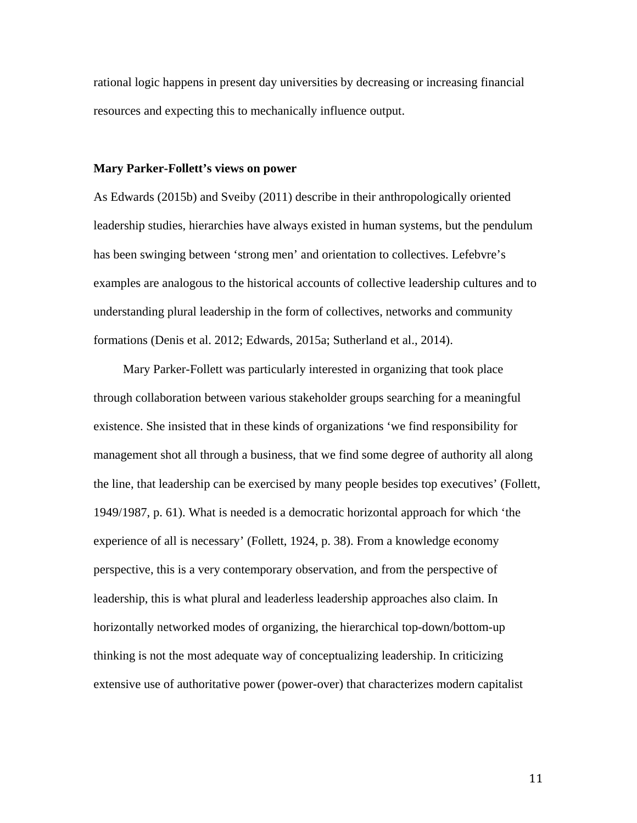rational logic happens in present day universities by decreasing or increasing financial resources and expecting this to mechanically influence output.

### **Mary Parker-Follett's views on power**

As Edwards (2015b) and Sveiby (2011) describe in their anthropologically oriented leadership studies, hierarchies have always existed in human systems, but the pendulum has been swinging between 'strong men' and orientation to collectives. Lefebvre's examples are analogous to the historical accounts of collective leadership cultures and to understanding plural leadership in the form of collectives, networks and community formations (Denis et al. 2012; Edwards, 2015a; Sutherland et al., 2014).

Mary Parker-Follett was particularly interested in organizing that took place through collaboration between various stakeholder groups searching for a meaningful existence. She insisted that in these kinds of organizations 'we find responsibility for management shot all through a business, that we find some degree of authority all along the line, that leadership can be exercised by many people besides top executives' (Follett, 1949/1987, p. 61). What is needed is a democratic horizontal approach for which 'the experience of all is necessary' (Follett, 1924, p. 38). From a knowledge economy perspective, this is a very contemporary observation, and from the perspective of leadership, this is what plural and leaderless leadership approaches also claim. In horizontally networked modes of organizing, the hierarchical top-down/bottom-up thinking is not the most adequate way of conceptualizing leadership. In criticizing extensive use of authoritative power (power-over) that characterizes modern capitalist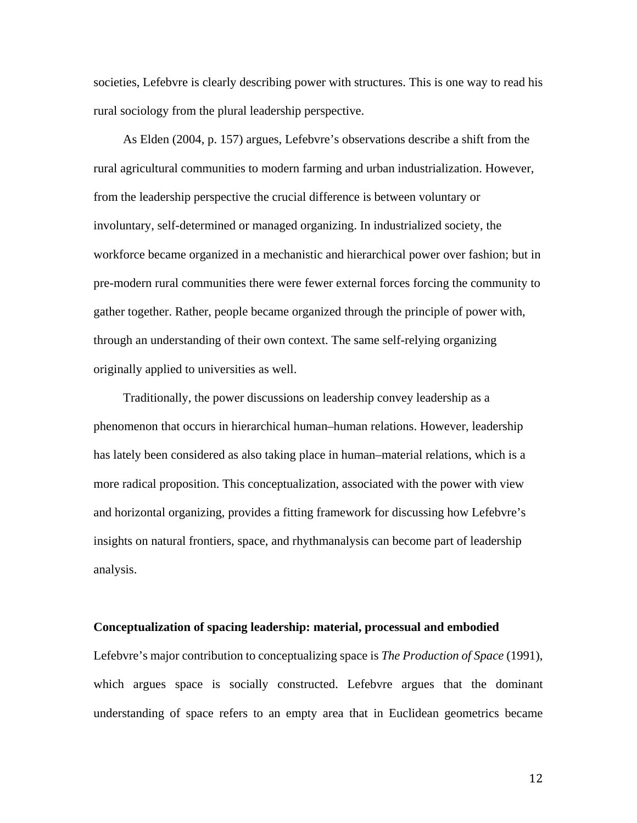societies, Lefebvre is clearly describing power with structures. This is one way to read his rural sociology from the plural leadership perspective.

As Elden (2004, p. 157) argues, Lefebvre's observations describe a shift from the rural agricultural communities to modern farming and urban industrialization. However, from the leadership perspective the crucial difference is between voluntary or involuntary, self-determined or managed organizing. In industrialized society, the workforce became organized in a mechanistic and hierarchical power over fashion; but in pre-modern rural communities there were fewer external forces forcing the community to gather together. Rather, people became organized through the principle of power with, through an understanding of their own context. The same self-relying organizing originally applied to universities as well.

Traditionally, the power discussions on leadership convey leadership as a phenomenon that occurs in hierarchical human–human relations. However, leadership has lately been considered as also taking place in human–material relations, which is a more radical proposition. This conceptualization, associated with the power with view and horizontal organizing, provides a fitting framework for discussing how Lefebvre's insights on natural frontiers, space, and rhythmanalysis can become part of leadership analysis.

#### **Conceptualization of spacing leadership: material, processual and embodied**

Lefebvre's major contribution to conceptualizing space is *The Production of Space* (1991), which argues space is socially constructed. Lefebvre argues that the dominant understanding of space refers to an empty area that in Euclidean geometrics became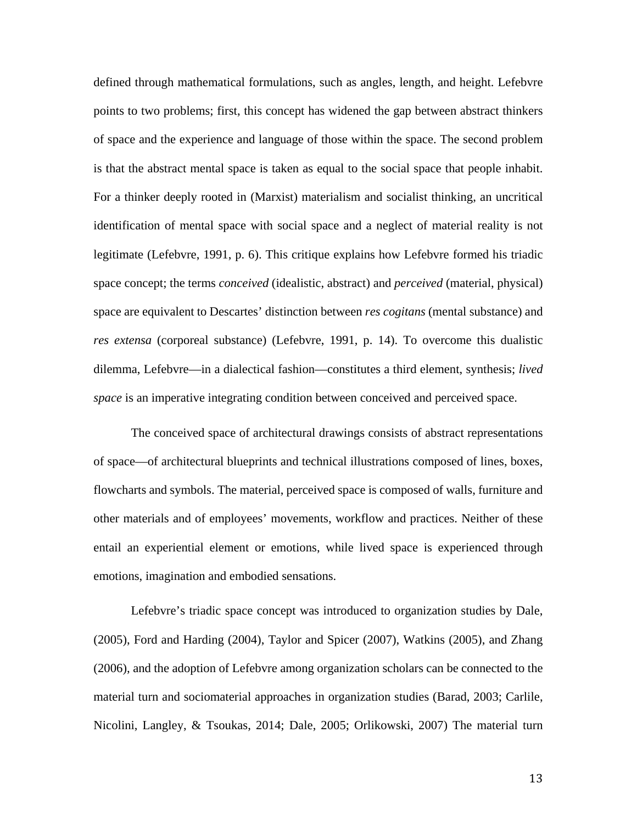defined through mathematical formulations, such as angles, length, and height. Lefebvre points to two problems; first, this concept has widened the gap between abstract thinkers of space and the experience and language of those within the space. The second problem is that the abstract mental space is taken as equal to the social space that people inhabit. For a thinker deeply rooted in (Marxist) materialism and socialist thinking, an uncritical identification of mental space with social space and a neglect of material reality is not legitimate (Lefebvre, 1991, p. 6). This critique explains how Lefebvre formed his triadic space concept; the terms *conceived* (idealistic, abstract) and *perceived* (material, physical) space are equivalent to Descartes' distinction between *res cogitans* (mental substance) and *res extensa* (corporeal substance) (Lefebvre, 1991, p. 14). To overcome this dualistic dilemma, Lefebvre—in a dialectical fashion—constitutes a third element, synthesis; *lived space* is an imperative integrating condition between conceived and perceived space.

The conceived space of architectural drawings consists of abstract representations of space—of architectural blueprints and technical illustrations composed of lines, boxes, flowcharts and symbols. The material, perceived space is composed of walls, furniture and other materials and of employees' movements, workflow and practices. Neither of these entail an experiential element or emotions, while lived space is experienced through emotions, imagination and embodied sensations.

Lefebvre's triadic space concept was introduced to organization studies by Dale, (2005), Ford and Harding (2004), Taylor and Spicer (2007), Watkins (2005), and Zhang (2006), and the adoption of Lefebvre among organization scholars can be connected to the material turn and sociomaterial approaches in organization studies (Barad, 2003; Carlile, Nicolini, Langley, & Tsoukas, 2014; Dale, 2005; Orlikowski, 2007) The material turn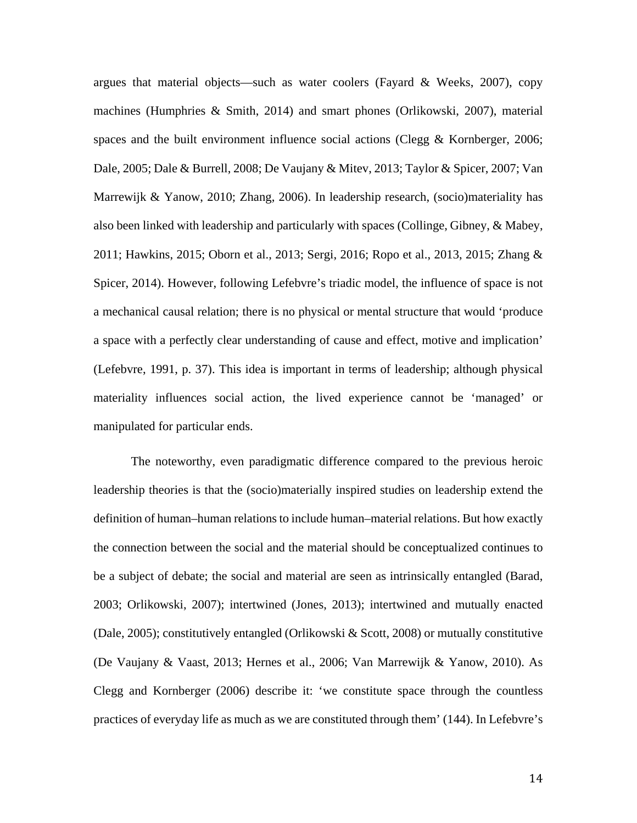argues that material objects—such as water coolers (Fayard & Weeks, 2007), copy machines (Humphries & Smith, 2014) and smart phones (Orlikowski, 2007), material spaces and the built environment influence social actions (Clegg  $&$  Kornberger, 2006; Dale, 2005; Dale & Burrell, 2008; De Vaujany & Mitev, 2013; Taylor & Spicer, 2007; Van Marrewijk & Yanow, 2010; Zhang, 2006). In leadership research, (socio)materiality has also been linked with leadership and particularly with spaces (Collinge, Gibney, & Mabey, 2011; Hawkins, 2015; Oborn et al., 2013; Sergi, 2016; Ropo et al., 2013, 2015; Zhang & Spicer, 2014). However, following Lefebvre's triadic model, the influence of space is not a mechanical causal relation; there is no physical or mental structure that would 'produce a space with a perfectly clear understanding of cause and effect, motive and implication' (Lefebvre, 1991, p. 37). This idea is important in terms of leadership; although physical materiality influences social action, the lived experience cannot be 'managed' or manipulated for particular ends.

The noteworthy, even paradigmatic difference compared to the previous heroic leadership theories is that the (socio)materially inspired studies on leadership extend the definition of human–human relations to include human–material relations. But how exactly the connection between the social and the material should be conceptualized continues to be a subject of debate; the social and material are seen as intrinsically entangled (Barad, 2003; Orlikowski, 2007); intertwined (Jones, 2013); intertwined and mutually enacted (Dale, 2005); constitutively entangled (Orlikowski & Scott, 2008) or mutually constitutive (De Vaujany & Vaast, 2013; Hernes et al., 2006; Van Marrewijk & Yanow, 2010). As Clegg and Kornberger (2006) describe it: 'we constitute space through the countless practices of everyday life as much as we are constituted through them' (144). In Lefebvre's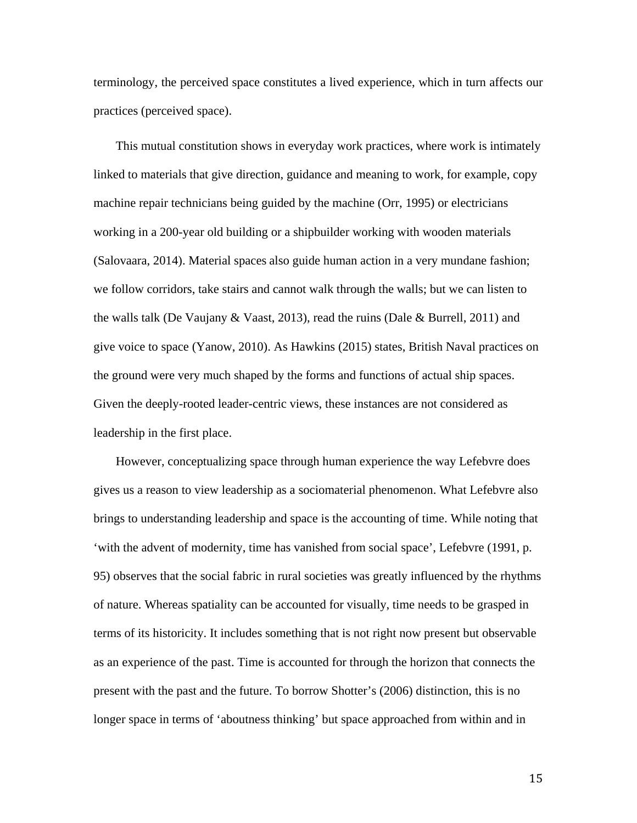terminology, the perceived space constitutes a lived experience, which in turn affects our practices (perceived space).

This mutual constitution shows in everyday work practices, where work is intimately linked to materials that give direction, guidance and meaning to work, for example, copy machine repair technicians being guided by the machine (Orr, 1995) or electricians working in a 200-year old building or a shipbuilder working with wooden materials (Salovaara, 2014). Material spaces also guide human action in a very mundane fashion; we follow corridors, take stairs and cannot walk through the walls; but we can listen to the walls talk (De Vaujany & Vaast, 2013), read the ruins (Dale & Burrell, 2011) and give voice to space (Yanow, 2010). As Hawkins (2015) states, British Naval practices on the ground were very much shaped by the forms and functions of actual ship spaces. Given the deeply-rooted leader-centric views, these instances are not considered as leadership in the first place.

However, conceptualizing space through human experience the way Lefebvre does gives us a reason to view leadership as a sociomaterial phenomenon. What Lefebvre also brings to understanding leadership and space is the accounting of time. While noting that 'with the advent of modernity, time has vanished from social space', Lefebvre (1991, p. 95) observes that the social fabric in rural societies was greatly influenced by the rhythms of nature. Whereas spatiality can be accounted for visually, time needs to be grasped in terms of its historicity. It includes something that is not right now present but observable as an experience of the past. Time is accounted for through the horizon that connects the present with the past and the future. To borrow Shotter's (2006) distinction, this is no longer space in terms of 'aboutness thinking' but space approached from within and in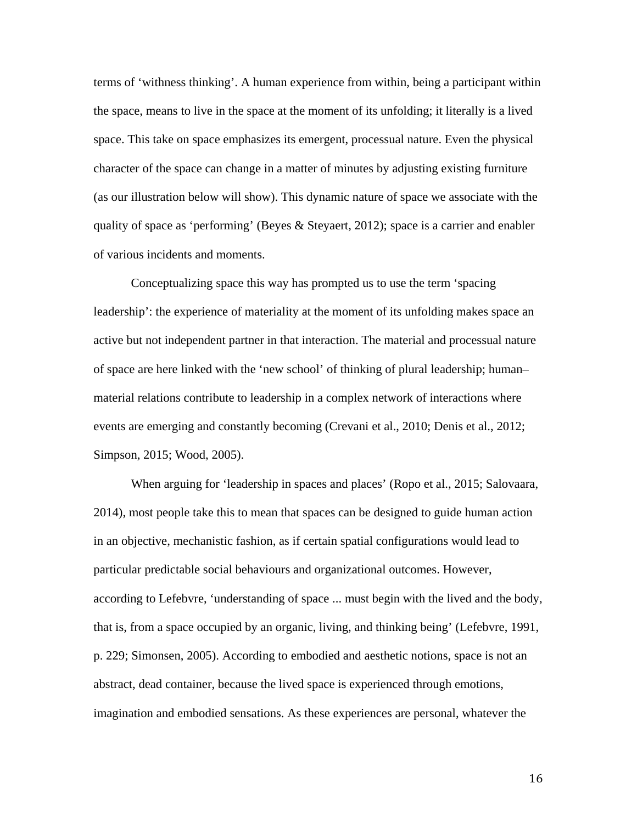terms of 'withness thinking'. A human experience from within, being a participant within the space, means to live in the space at the moment of its unfolding; it literally is a lived space. This take on space emphasizes its emergent, processual nature. Even the physical character of the space can change in a matter of minutes by adjusting existing furniture (as our illustration below will show). This dynamic nature of space we associate with the quality of space as 'performing' (Beyes & Steyaert, 2012); space is a carrier and enabler of various incidents and moments.

Conceptualizing space this way has prompted us to use the term 'spacing leadership': the experience of materiality at the moment of its unfolding makes space an active but not independent partner in that interaction. The material and processual nature of space are here linked with the 'new school' of thinking of plural leadership; human– material relations contribute to leadership in a complex network of interactions where events are emerging and constantly becoming (Crevani et al., 2010; Denis et al., 2012; Simpson, 2015; Wood, 2005).

When arguing for 'leadership in spaces and places' (Ropo et al., 2015; Salovaara, 2014), most people take this to mean that spaces can be designed to guide human action in an objective, mechanistic fashion, as if certain spatial configurations would lead to particular predictable social behaviours and organizational outcomes. However, according to Lefebvre, 'understanding of space ... must begin with the lived and the body, that is, from a space occupied by an organic, living, and thinking being' (Lefebvre, 1991, p. 229; Simonsen, 2005). According to embodied and aesthetic notions, space is not an abstract, dead container, because the lived space is experienced through emotions, imagination and embodied sensations. As these experiences are personal, whatever the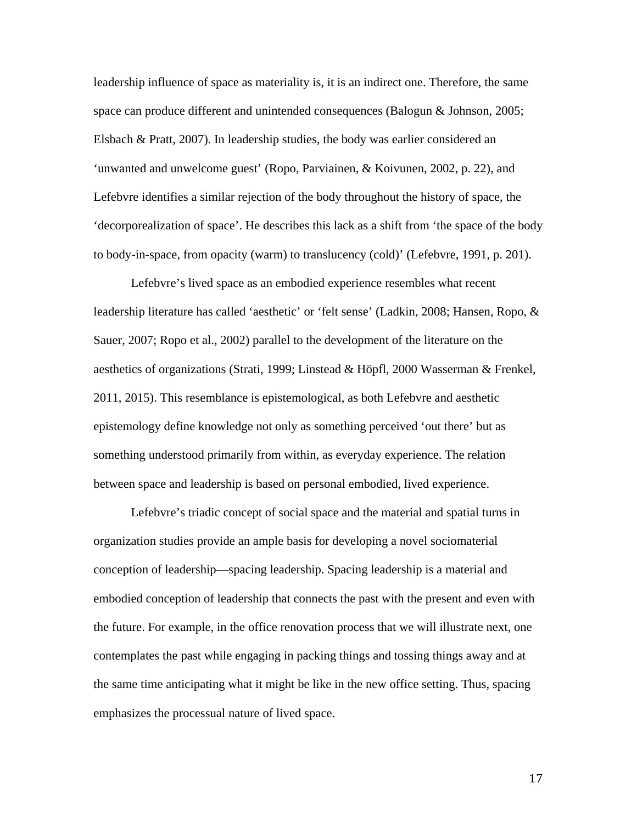leadership influence of space as materiality is, it is an indirect one. Therefore, the same space can produce different and unintended consequences (Balogun & Johnson, 2005; Elsbach & Pratt, 2007). In leadership studies, the body was earlier considered an 'unwanted and unwelcome guest' (Ropo, Parviainen, & Koivunen, 2002, p. 22), and Lefebvre identifies a similar rejection of the body throughout the history of space, the 'decorporealization of space'. He describes this lack as a shift from 'the space of the body to body-in-space, from opacity (warm) to translucency (cold)' (Lefebvre, 1991, p. 201).

Lefebvre's lived space as an embodied experience resembles what recent leadership literature has called 'aesthetic' or 'felt sense' (Ladkin, 2008; Hansen, Ropo, & Sauer, 2007; Ropo et al., 2002) parallel to the development of the literature on the aesthetics of organizations (Strati, 1999; Linstead & Höpfl, 2000 Wasserman & Frenkel, 2011, 2015). This resemblance is epistemological, as both Lefebvre and aesthetic epistemology define knowledge not only as something perceived 'out there' but as something understood primarily from within, as everyday experience. The relation between space and leadership is based on personal embodied, lived experience.

Lefebvre's triadic concept of social space and the material and spatial turns in organization studies provide an ample basis for developing a novel sociomaterial conception of leadership—spacing leadership. Spacing leadership is a material and embodied conception of leadership that connects the past with the present and even with the future. For example, in the office renovation process that we will illustrate next, one contemplates the past while engaging in packing things and tossing things away and at the same time anticipating what it might be like in the new office setting. Thus, spacing emphasizes the processual nature of lived space.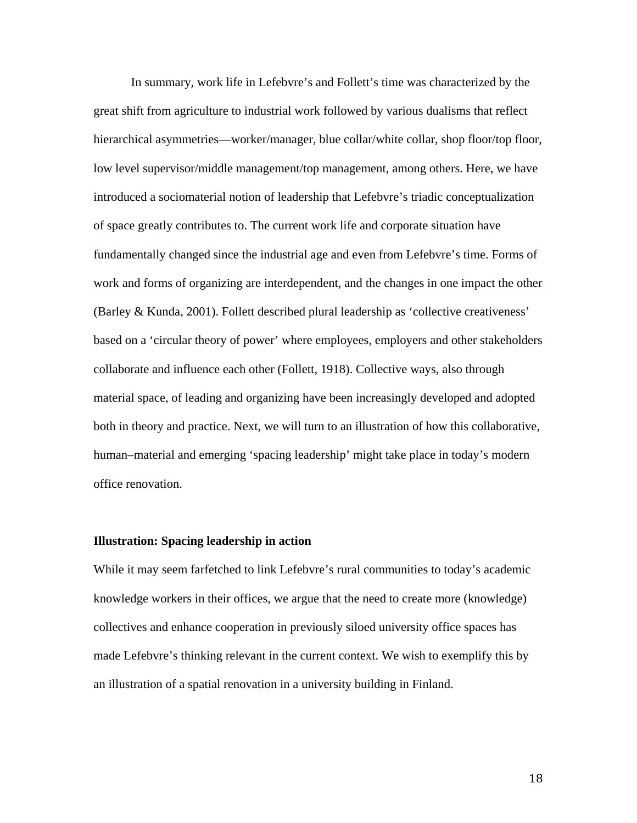In summary, work life in Lefebvre's and Follett's time was characterized by the great shift from agriculture to industrial work followed by various dualisms that reflect hierarchical asymmetries—worker/manager, blue collar/white collar, shop floor/top floor, low level supervisor/middle management/top management, among others. Here, we have introduced a sociomaterial notion of leadership that Lefebvre's triadic conceptualization of space greatly contributes to. The current work life and corporate situation have fundamentally changed since the industrial age and even from Lefebvre's time. Forms of work and forms of organizing are interdependent, and the changes in one impact the other (Barley & Kunda, 2001). Follett described plural leadership as 'collective creativeness' based on a 'circular theory of power' where employees, employers and other stakeholders collaborate and influence each other (Follett, 1918). Collective ways, also through material space, of leading and organizing have been increasingly developed and adopted both in theory and practice. Next, we will turn to an illustration of how this collaborative, human–material and emerging 'spacing leadership' might take place in today's modern office renovation.

### **Illustration: Spacing leadership in action**

While it may seem farfetched to link Lefebvre's rural communities to today's academic knowledge workers in their offices, we argue that the need to create more (knowledge) collectives and enhance cooperation in previously siloed university office spaces has made Lefebvre's thinking relevant in the current context. We wish to exemplify this by an illustration of a spatial renovation in a university building in Finland.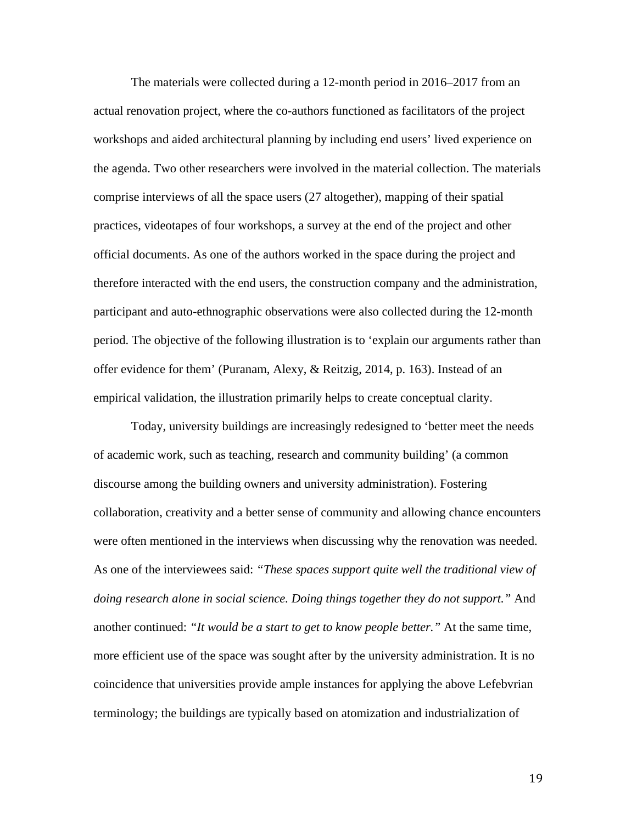The materials were collected during a 12-month period in 2016–2017 from an actual renovation project, where the co-authors functioned as facilitators of the project workshops and aided architectural planning by including end users' lived experience on the agenda. Two other researchers were involved in the material collection. The materials comprise interviews of all the space users (27 altogether), mapping of their spatial practices, videotapes of four workshops, a survey at the end of the project and other official documents. As one of the authors worked in the space during the project and therefore interacted with the end users, the construction company and the administration, participant and auto-ethnographic observations were also collected during the 12-month period. The objective of the following illustration is to 'explain our arguments rather than offer evidence for them' (Puranam, Alexy, & Reitzig, 2014, p. 163). Instead of an empirical validation, the illustration primarily helps to create conceptual clarity.

Today, university buildings are increasingly redesigned to 'better meet the needs of academic work, such as teaching, research and community building' (a common discourse among the building owners and university administration). Fostering collaboration, creativity and a better sense of community and allowing chance encounters were often mentioned in the interviews when discussing why the renovation was needed. As one of the interviewees said: *"These spaces support quite well the traditional view of doing research alone in social science. Doing things together they do not support."* And another continued: *"It would be a start to get to know people better."* At the same time, more efficient use of the space was sought after by the university administration. It is no coincidence that universities provide ample instances for applying the above Lefebvrian terminology; the buildings are typically based on atomization and industrialization of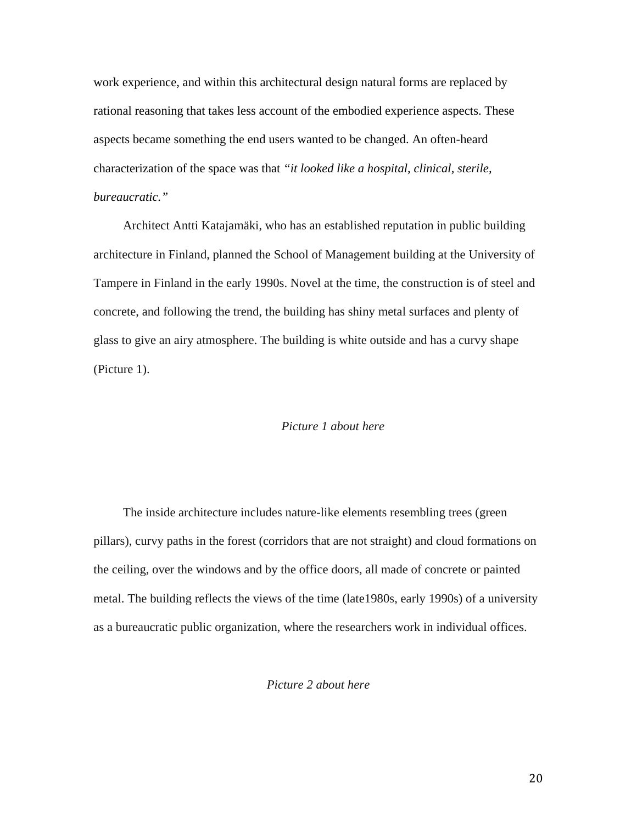work experience, and within this architectural design natural forms are replaced by rational reasoning that takes less account of the embodied experience aspects. These aspects became something the end users wanted to be changed. An often-heard characterization of the space was that *"it looked like a hospital, clinical, sterile, bureaucratic."*

Architect Antti Katajamäki, who has an established reputation in public building architecture in Finland, planned the School of Management building at the University of Tampere in Finland in the early 1990s. Novel at the time, the construction is of steel and concrete, and following the trend, the building has shiny metal surfaces and plenty of glass to give an airy atmosphere. The building is white outside and has a curvy shape (Picture 1).

### *Picture 1 about here*

The inside architecture includes nature-like elements resembling trees (green pillars), curvy paths in the forest (corridors that are not straight) and cloud formations on the ceiling, over the windows and by the office doors, all made of concrete or painted metal. The building reflects the views of the time (late1980s, early 1990s) of a university as a bureaucratic public organization, where the researchers work in individual offices.

*Picture 2 about here*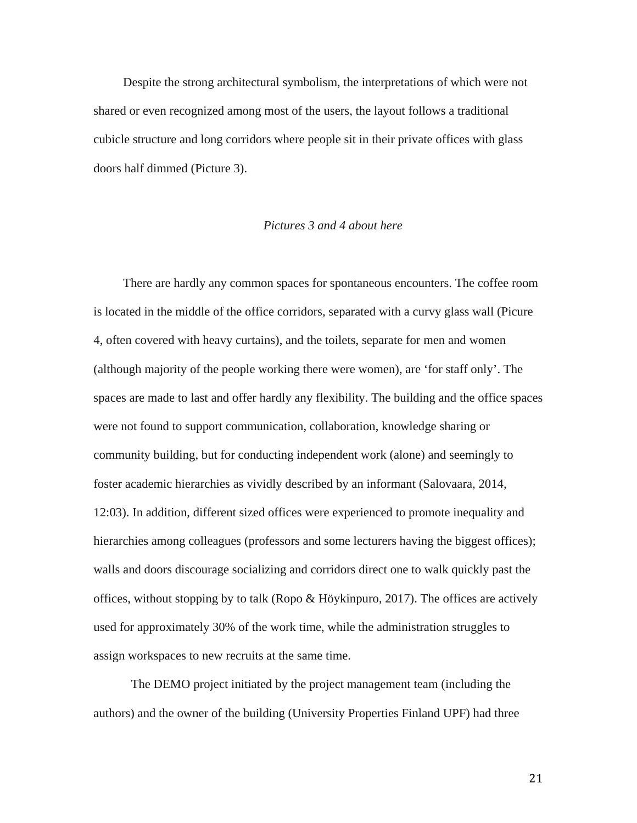Despite the strong architectural symbolism, the interpretations of which were not shared or even recognized among most of the users, the layout follows a traditional cubicle structure and long corridors where people sit in their private offices with glass doors half dimmed (Picture 3).

## *Pictures 3 and 4 about here*

There are hardly any common spaces for spontaneous encounters. The coffee room is located in the middle of the office corridors, separated with a curvy glass wall (Picure 4, often covered with heavy curtains), and the toilets, separate for men and women (although majority of the people working there were women), are 'for staff only'. The spaces are made to last and offer hardly any flexibility. The building and the office spaces were not found to support communication, collaboration, knowledge sharing or community building, but for conducting independent work (alone) and seemingly to foster academic hierarchies as vividly described by an informant (Salovaara, 2014, 12:03). In addition, different sized offices were experienced to promote inequality and hierarchies among colleagues (professors and some lecturers having the biggest offices); walls and doors discourage socializing and corridors direct one to walk quickly past the offices, without stopping by to talk (Ropo & Höykinpuro, 2017). The offices are actively used for approximately 30% of the work time, while the administration struggles to assign workspaces to new recruits at the same time.

The DEMO project initiated by the project management team (including the authors) and the owner of the building (University Properties Finland UPF) had three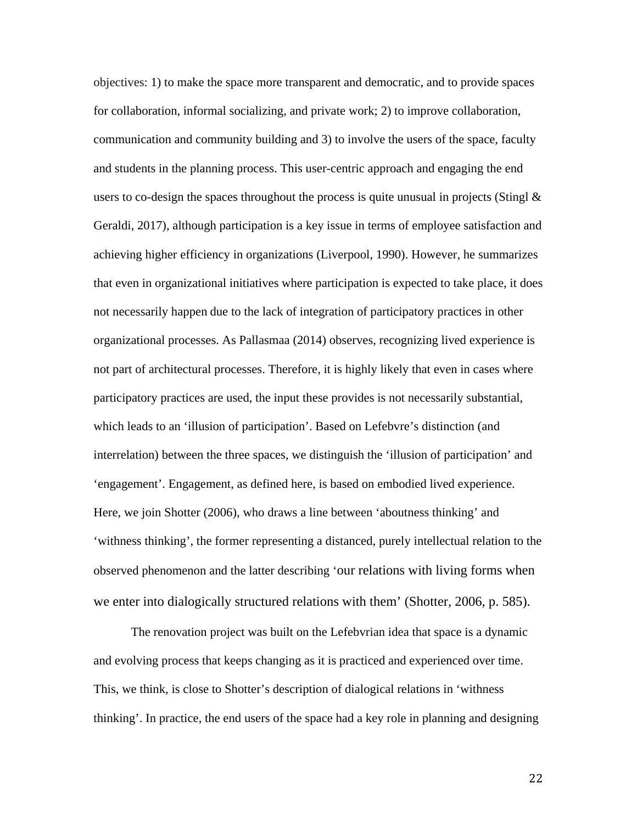objectives: 1) to make the space more transparent and democratic, and to provide spaces for collaboration, informal socializing, and private work; 2) to improve collaboration, communication and community building and 3) to involve the users of the space, faculty and students in the planning process. This user-centric approach and engaging the end users to co-design the spaces throughout the process is quite unusual in projects (Stingl  $\&$ Geraldi, 2017), although participation is a key issue in terms of employee satisfaction and achieving higher efficiency in organizations (Liverpool, 1990). However, he summarizes that even in organizational initiatives where participation is expected to take place, it does not necessarily happen due to the lack of integration of participatory practices in other organizational processes. As Pallasmaa (2014) observes, recognizing lived experience is not part of architectural processes. Therefore, it is highly likely that even in cases where participatory practices are used, the input these provides is not necessarily substantial, which leads to an 'illusion of participation'. Based on Lefebvre's distinction (and interrelation) between the three spaces, we distinguish the 'illusion of participation' and 'engagement'. Engagement, as defined here, is based on embodied lived experience. Here, we join Shotter (2006), who draws a line between 'aboutness thinking' and 'withness thinking', the former representing a distanced, purely intellectual relation to the observed phenomenon and the latter describing 'our relations with living forms when we enter into dialogically structured relations with them' (Shotter, 2006, p. 585).

The renovation project was built on the Lefebvrian idea that space is a dynamic and evolving process that keeps changing as it is practiced and experienced over time. This, we think, is close to Shotter's description of dialogical relations in 'withness thinking'. In practice, the end users of the space had a key role in planning and designing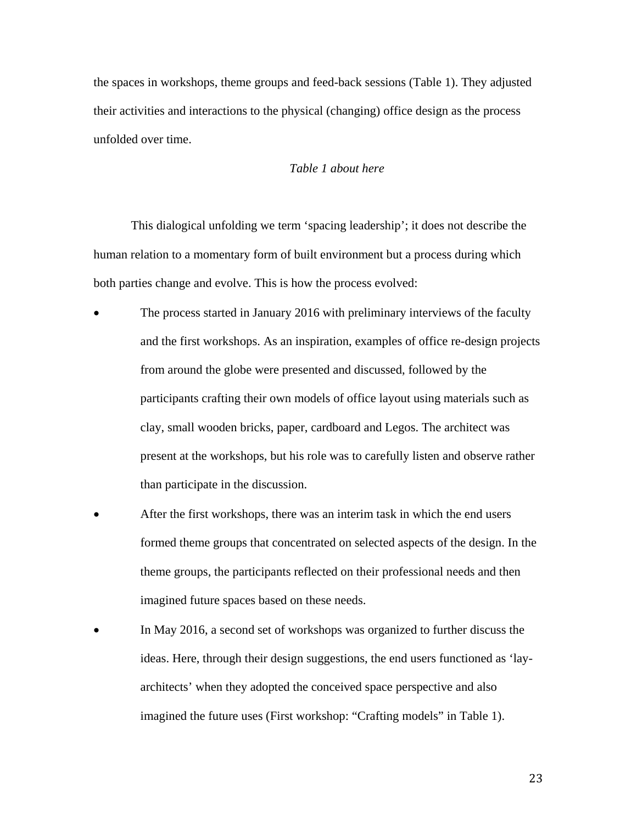the spaces in workshops, theme groups and feed-back sessions (Table 1). They adjusted their activities and interactions to the physical (changing) office design as the process unfolded over time.

### *Table 1 about here*

This dialogical unfolding we term 'spacing leadership'; it does not describe the human relation to a momentary form of built environment but a process during which both parties change and evolve. This is how the process evolved:

- The process started in January 2016 with preliminary interviews of the faculty and the first workshops. As an inspiration, examples of office re-design projects from around the globe were presented and discussed, followed by the participants crafting their own models of office layout using materials such as clay, small wooden bricks, paper, cardboard and Legos. The architect was present at the workshops, but his role was to carefully listen and observe rather than participate in the discussion.
- After the first workshops, there was an interim task in which the end users formed theme groups that concentrated on selected aspects of the design. In the theme groups, the participants reflected on their professional needs and then imagined future spaces based on these needs.
- In May 2016, a second set of workshops was organized to further discuss the ideas. Here, through their design suggestions, the end users functioned as 'layarchitects' when they adopted the conceived space perspective and also imagined the future uses (First workshop: "Crafting models" in Table 1).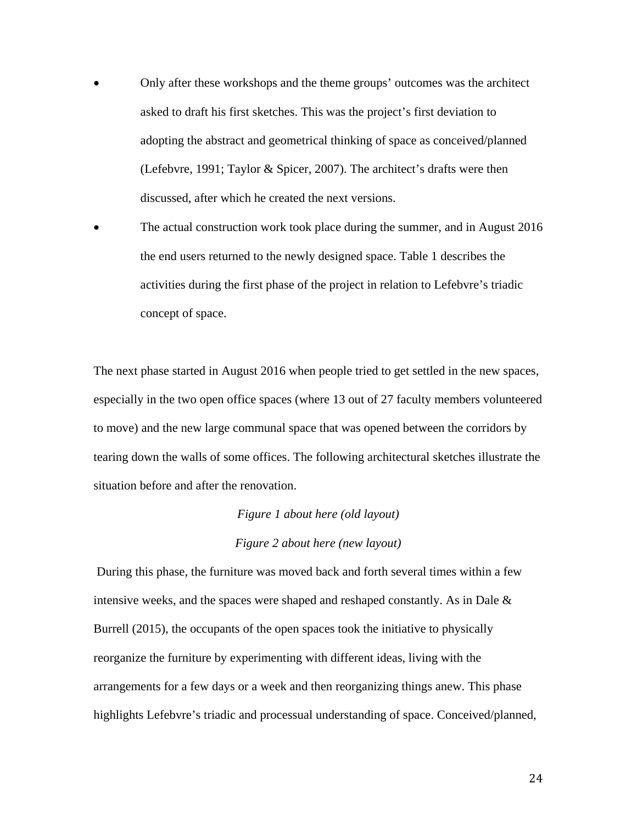- Only after these workshops and the theme groups' outcomes was the architect asked to draft his first sketches. This was the project's first deviation to adopting the abstract and geometrical thinking of space as conceived/planned (Lefebvre, 1991; Taylor & Spicer, 2007). The architect's drafts were then discussed, after which he created the next versions.
- The actual construction work took place during the summer, and in August 2016 the end users returned to the newly designed space. Table 1 describes the activities during the first phase of the project in relation to Lefebvre's triadic concept of space.

The next phase started in August 2016 when people tried to get settled in the new spaces, especially in the two open office spaces (where 13 out of 27 faculty members volunteered to move) and the new large communal space that was opened between the corridors by tearing down the walls of some offices. The following architectural sketches illustrate the situation before and after the renovation.

# *Figure 1 about here (old layout) Figure 2 about here (new layout)*

During this phase, the furniture was moved back and forth several times within a few intensive weeks, and the spaces were shaped and reshaped constantly. As in Dale & Burrell (2015), the occupants of the open spaces took the initiative to physically reorganize the furniture by experimenting with different ideas, living with the arrangements for a few days or a week and then reorganizing things anew. This phase highlights Lefebvre's triadic and processual understanding of space. Conceived/planned,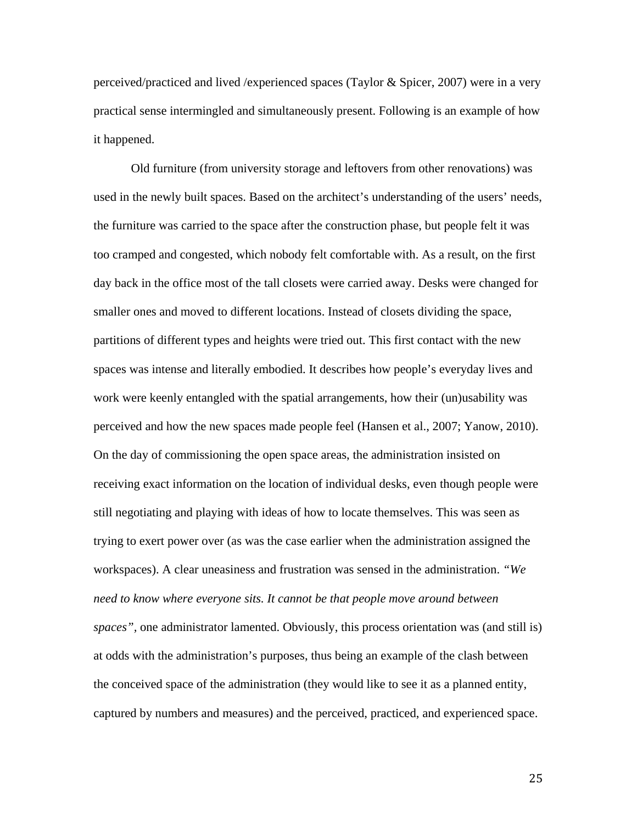perceived/practiced and lived /experienced spaces (Taylor & Spicer, 2007) were in a very practical sense intermingled and simultaneously present. Following is an example of how it happened.

Old furniture (from university storage and leftovers from other renovations) was used in the newly built spaces. Based on the architect's understanding of the users' needs, the furniture was carried to the space after the construction phase, but people felt it was too cramped and congested, which nobody felt comfortable with. As a result, on the first day back in the office most of the tall closets were carried away. Desks were changed for smaller ones and moved to different locations. Instead of closets dividing the space, partitions of different types and heights were tried out. This first contact with the new spaces was intense and literally embodied. It describes how people's everyday lives and work were keenly entangled with the spatial arrangements, how their (un)usability was perceived and how the new spaces made people feel (Hansen et al., 2007; Yanow, 2010). On the day of commissioning the open space areas, the administration insisted on receiving exact information on the location of individual desks, even though people were still negotiating and playing with ideas of how to locate themselves. This was seen as trying to exert power over (as was the case earlier when the administration assigned the workspaces). A clear uneasiness and frustration was sensed in the administration. *"We need to know where everyone sits. It cannot be that people move around between spaces",* one administrator lamented. Obviously, this process orientation was (and still is) at odds with the administration's purposes, thus being an example of the clash between the conceived space of the administration (they would like to see it as a planned entity, captured by numbers and measures) and the perceived, practiced, and experienced space.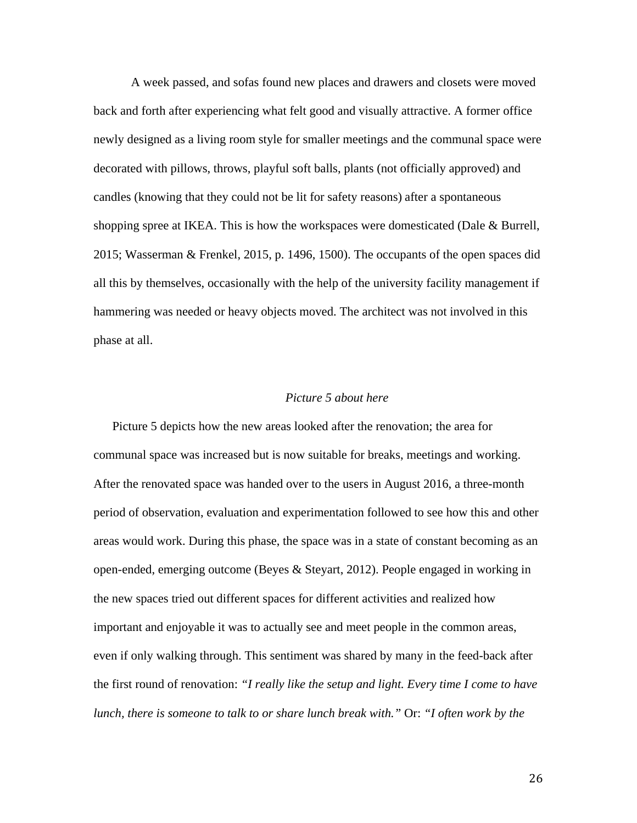A week passed, and sofas found new places and drawers and closets were moved back and forth after experiencing what felt good and visually attractive. A former office newly designed as a living room style for smaller meetings and the communal space were decorated with pillows, throws, playful soft balls, plants (not officially approved) and candles (knowing that they could not be lit for safety reasons) after a spontaneous shopping spree at IKEA. This is how the workspaces were domesticated (Dale & Burrell, 2015; Wasserman & Frenkel, 2015, p. 1496, 1500). The occupants of the open spaces did all this by themselves, occasionally with the help of the university facility management if hammering was needed or heavy objects moved. The architect was not involved in this phase at all.

### *Picture 5 about here*

Picture 5 depicts how the new areas looked after the renovation; the area for communal space was increased but is now suitable for breaks, meetings and working. After the renovated space was handed over to the users in August 2016, a three-month period of observation, evaluation and experimentation followed to see how this and other areas would work. During this phase, the space was in a state of constant becoming as an open-ended, emerging outcome (Beyes & Steyart, 2012). People engaged in working in the new spaces tried out different spaces for different activities and realized how important and enjoyable it was to actually see and meet people in the common areas, even if only walking through. This sentiment was shared by many in the feed-back after the first round of renovation: *"I really like the setup and light. Every time I come to have lunch, there is someone to talk to or share lunch break with."* Or: *"I often work by the*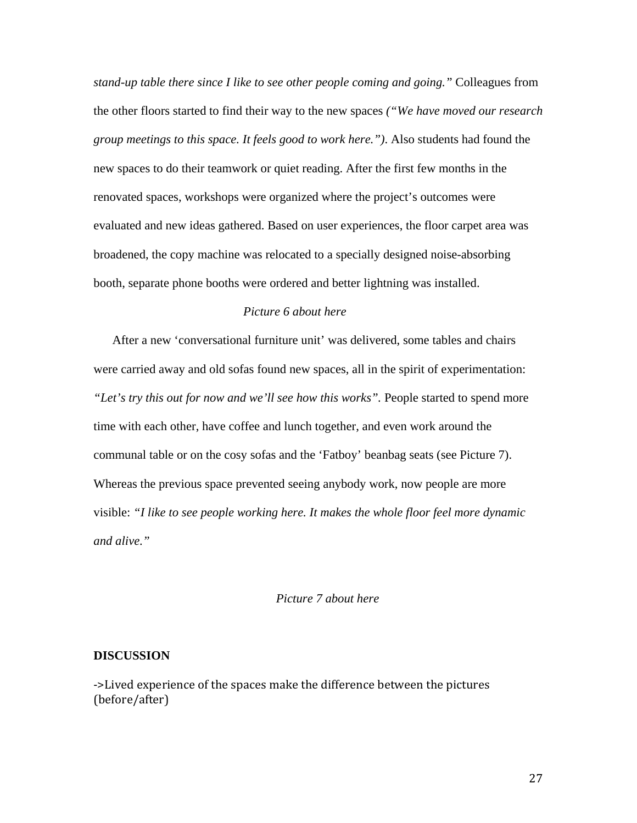*stand-up table there since I like to see other people coming and going."* Colleagues from the other floors started to find their way to the new spaces *("We have moved our research group meetings to this space. It feels good to work here.")*. Also students had found the new spaces to do their teamwork or quiet reading. After the first few months in the renovated spaces, workshops were organized where the project's outcomes were evaluated and new ideas gathered. Based on user experiences, the floor carpet area was broadened, the copy machine was relocated to a specially designed noise-absorbing booth, separate phone booths were ordered and better lightning was installed.

## *Picture 6 about here*

After a new 'conversational furniture unit' was delivered, some tables and chairs were carried away and old sofas found new spaces, all in the spirit of experimentation: *"Let's try this out for now and we'll see how this works".* People started to spend more time with each other, have coffee and lunch together, and even work around the communal table or on the cosy sofas and the 'Fatboy' beanbag seats (see Picture 7). Whereas the previous space prevented seeing anybody work, now people are more visible: *"I like to see people working here. It makes the whole floor feel more dynamic and alive."*

## *Picture 7 about here*

### **DISCUSSION**

->Lived experience of the spaces make the difference between the pictures (before/after)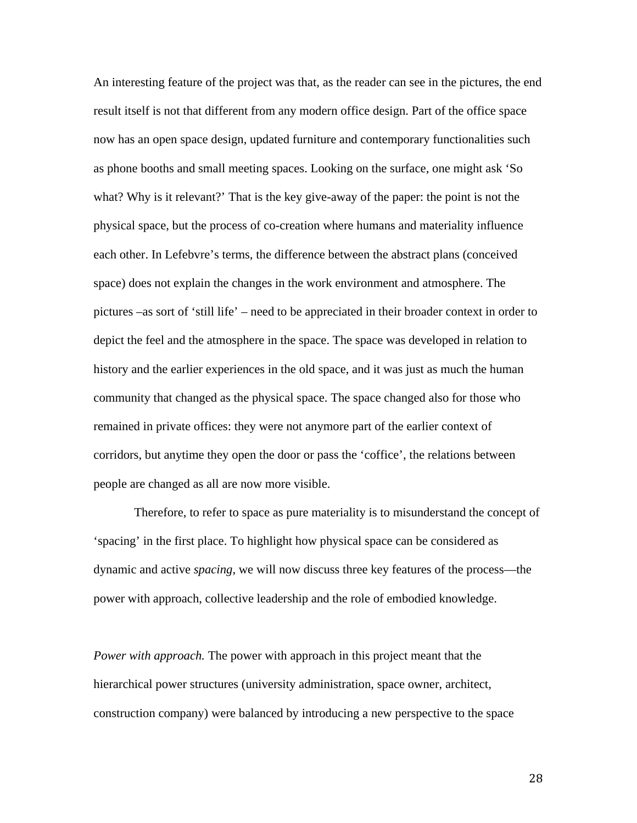An interesting feature of the project was that, as the reader can see in the pictures, the end result itself is not that different from any modern office design. Part of the office space now has an open space design, updated furniture and contemporary functionalities such as phone booths and small meeting spaces. Looking on the surface, one might ask 'So what? Why is it relevant?' That is the key give-away of the paper: the point is not the physical space, but the process of co-creation where humans and materiality influence each other. In Lefebvre's terms, the difference between the abstract plans (conceived space) does not explain the changes in the work environment and atmosphere. The pictures –as sort of 'still life' – need to be appreciated in their broader context in order to depict the feel and the atmosphere in the space. The space was developed in relation to history and the earlier experiences in the old space, and it was just as much the human community that changed as the physical space. The space changed also for those who remained in private offices: they were not anymore part of the earlier context of corridors, but anytime they open the door or pass the 'coffice', the relations between people are changed as all are now more visible.

Therefore, to refer to space as pure materiality is to misunderstand the concept of 'spacing' in the first place. To highlight how physical space can be considered as dynamic and active *spacing*, we will now discuss three key features of the process—the power with approach, collective leadership and the role of embodied knowledge.

*Power with approach.* The power with approach in this project meant that the hierarchical power structures (university administration, space owner, architect, construction company) were balanced by introducing a new perspective to the space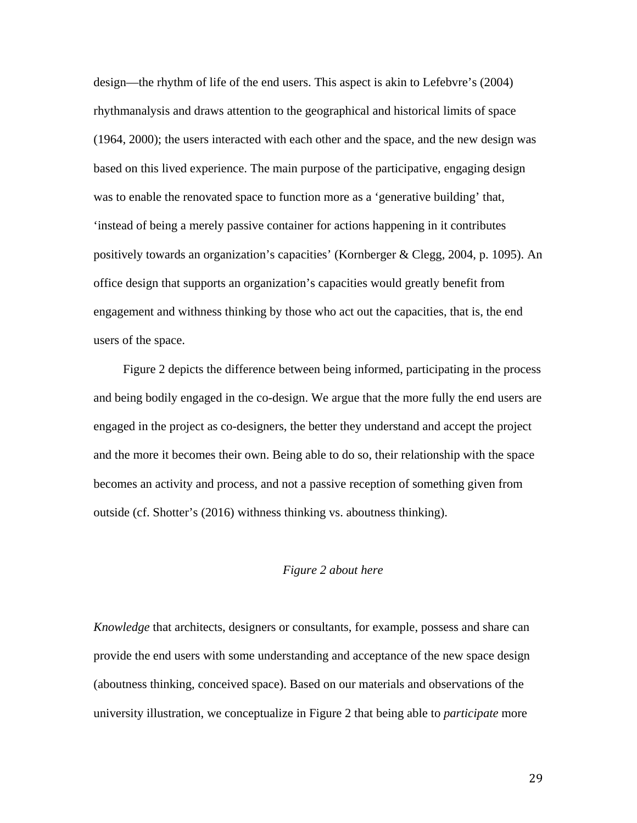design—the rhythm of life of the end users. This aspect is akin to Lefebvre's (2004) rhythmanalysis and draws attention to the geographical and historical limits of space (1964, 2000); the users interacted with each other and the space, and the new design was based on this lived experience. The main purpose of the participative, engaging design was to enable the renovated space to function more as a 'generative building' that, 'instead of being a merely passive container for actions happening in it contributes positively towards an organization's capacities' (Kornberger & Clegg, 2004, p. 1095). An office design that supports an organization's capacities would greatly benefit from engagement and withness thinking by those who act out the capacities, that is, the end users of the space.

Figure 2 depicts the difference between being informed, participating in the process and being bodily engaged in the co-design. We argue that the more fully the end users are engaged in the project as co-designers, the better they understand and accept the project and the more it becomes their own. Being able to do so, their relationship with the space becomes an activity and process, and not a passive reception of something given from outside (cf. Shotter's (2016) withness thinking vs. aboutness thinking).

### *Figure 2 about here*

*Knowledge* that architects, designers or consultants, for example, possess and share can provide the end users with some understanding and acceptance of the new space design (aboutness thinking, conceived space). Based on our materials and observations of the university illustration, we conceptualize in Figure 2 that being able to *participate* more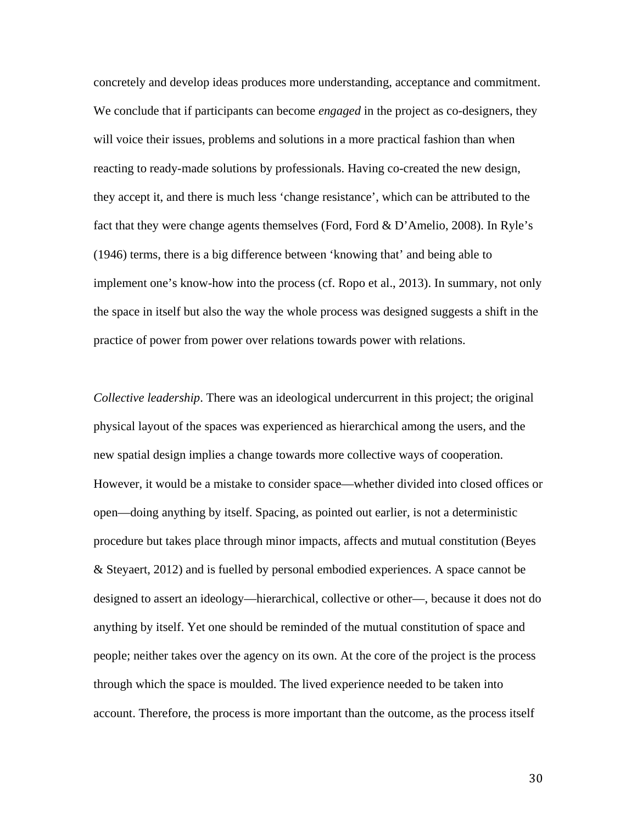concretely and develop ideas produces more understanding, acceptance and commitment. We conclude that if participants can become *engaged* in the project as co-designers, they will voice their issues, problems and solutions in a more practical fashion than when reacting to ready-made solutions by professionals. Having co-created the new design, they accept it, and there is much less 'change resistance', which can be attributed to the fact that they were change agents themselves (Ford, Ford & D'Amelio, 2008). In Ryle's (1946) terms, there is a big difference between 'knowing that' and being able to implement one's know-how into the process (cf. Ropo et al., 2013). In summary, not only the space in itself but also the way the whole process was designed suggests a shift in the practice of power from power over relations towards power with relations.

*Collective leadership*. There was an ideological undercurrent in this project; the original physical layout of the spaces was experienced as hierarchical among the users, and the new spatial design implies a change towards more collective ways of cooperation. However, it would be a mistake to consider space—whether divided into closed offices or open—doing anything by itself. Spacing, as pointed out earlier, is not a deterministic procedure but takes place through minor impacts, affects and mutual constitution (Beyes & Steyaert, 2012) and is fuelled by personal embodied experiences. A space cannot be designed to assert an ideology—hierarchical, collective or other—, because it does not do anything by itself. Yet one should be reminded of the mutual constitution of space and people; neither takes over the agency on its own. At the core of the project is the process through which the space is moulded. The lived experience needed to be taken into account. Therefore, the process is more important than the outcome, as the process itself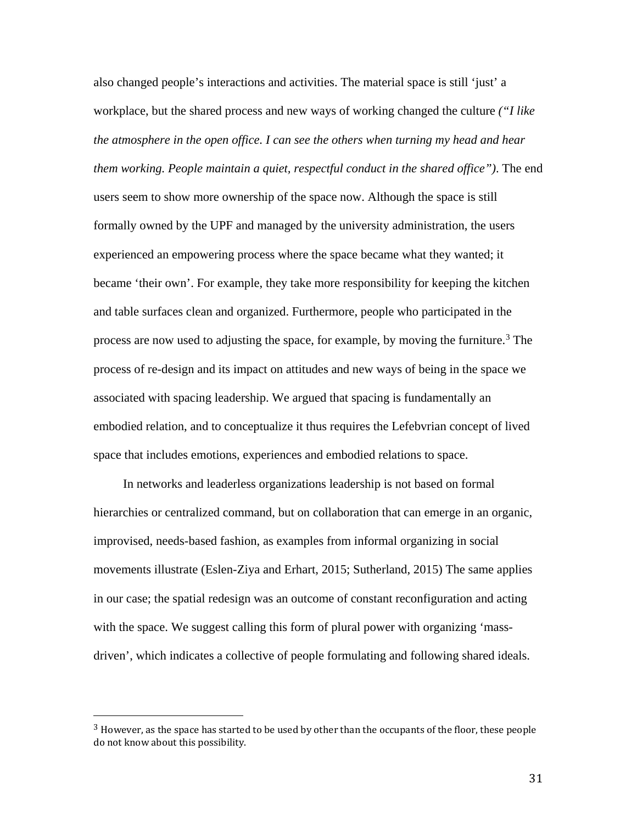also changed people's interactions and activities. The material space is still 'just' a workplace, but the shared process and new ways of working changed the culture *("I like the atmosphere in the open office. I can see the others when turning my head and hear them working. People maintain a quiet, respectful conduct in the shared office")*. The end users seem to show more ownership of the space now. Although the space is still formally owned by the UPF and managed by the university administration, the users experienced an empowering process where the space became what they wanted; it became 'their own'. For example, they take more responsibility for keeping the kitchen and table surfaces clean and organized. Furthermore, people who participated in the process are now used to adjusting the space, for example, by moving the furniture. [3](#page-30-0) The process of re-design and its impact on attitudes and new ways of being in the space we associated with spacing leadership. We argued that spacing is fundamentally an embodied relation, and to conceptualize it thus requires the Lefebvrian concept of lived space that includes emotions, experiences and embodied relations to space.

In networks and leaderless organizations leadership is not based on formal hierarchies or centralized command, but on collaboration that can emerge in an organic, improvised, needs-based fashion, as examples from informal organizing in social movements illustrate (Eslen-Ziya and Erhart, 2015; Sutherland, 2015) The same applies in our case; the spatial redesign was an outcome of constant reconfiguration and acting with the space. We suggest calling this form of plural power with organizing 'massdriven', which indicates a collective of people formulating and following shared ideals.

<span id="page-30-0"></span> $3$  However, as the space has started to be used by other than the occupants of the floor, these people do not know about this possibility.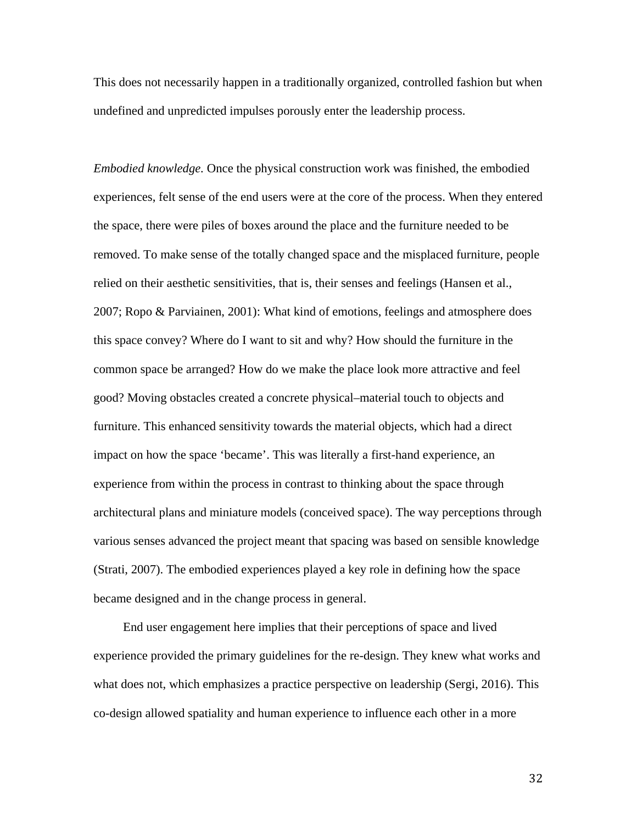This does not necessarily happen in a traditionally organized, controlled fashion but when undefined and unpredicted impulses porously enter the leadership process.

*Embodied knowledge.* Once the physical construction work was finished, the embodied experiences, felt sense of the end users were at the core of the process. When they entered the space, there were piles of boxes around the place and the furniture needed to be removed. To make sense of the totally changed space and the misplaced furniture, people relied on their aesthetic sensitivities, that is, their senses and feelings (Hansen et al., 2007; Ropo & Parviainen, 2001): What kind of emotions, feelings and atmosphere does this space convey? Where do I want to sit and why? How should the furniture in the common space be arranged? How do we make the place look more attractive and feel good? Moving obstacles created a concrete physical–material touch to objects and furniture. This enhanced sensitivity towards the material objects, which had a direct impact on how the space 'became'. This was literally a first-hand experience, an experience from within the process in contrast to thinking about the space through architectural plans and miniature models (conceived space). The way perceptions through various senses advanced the project meant that spacing was based on sensible knowledge (Strati, 2007). The embodied experiences played a key role in defining how the space became designed and in the change process in general.

End user engagement here implies that their perceptions of space and lived experience provided the primary guidelines for the re-design. They knew what works and what does not, which emphasizes a practice perspective on leadership (Sergi, 2016). This co-design allowed spatiality and human experience to influence each other in a more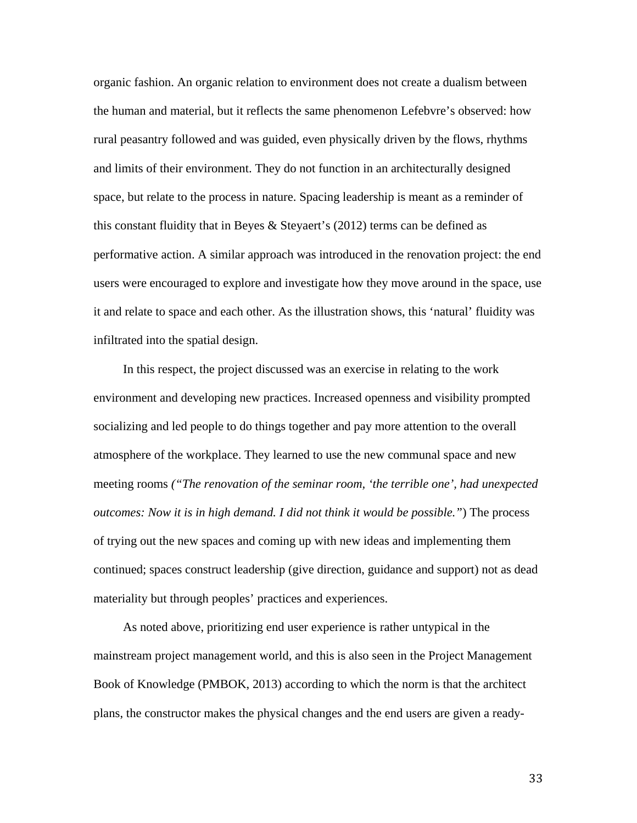organic fashion. An organic relation to environment does not create a dualism between the human and material, but it reflects the same phenomenon Lefebvre's observed: how rural peasantry followed and was guided, even physically driven by the flows, rhythms and limits of their environment. They do not function in an architecturally designed space, but relate to the process in nature. Spacing leadership is meant as a reminder of this constant fluidity that in Beyes & Steyaert's (2012) terms can be defined as performative action. A similar approach was introduced in the renovation project: the end users were encouraged to explore and investigate how they move around in the space, use it and relate to space and each other. As the illustration shows, this 'natural' fluidity was infiltrated into the spatial design.

In this respect, the project discussed was an exercise in relating to the work environment and developing new practices. Increased openness and visibility prompted socializing and led people to do things together and pay more attention to the overall atmosphere of the workplace. They learned to use the new communal space and new meeting rooms *("The renovation of the seminar room, 'the terrible one', had unexpected outcomes: Now it is in high demand. I did not think it would be possible."*) The process of trying out the new spaces and coming up with new ideas and implementing them continued; spaces construct leadership (give direction, guidance and support) not as dead materiality but through peoples' practices and experiences.

As noted above, prioritizing end user experience is rather untypical in the mainstream project management world, and this is also seen in the Project Management Book of Knowledge (PMBOK, 2013) according to which the norm is that the architect plans, the constructor makes the physical changes and the end users are given a ready-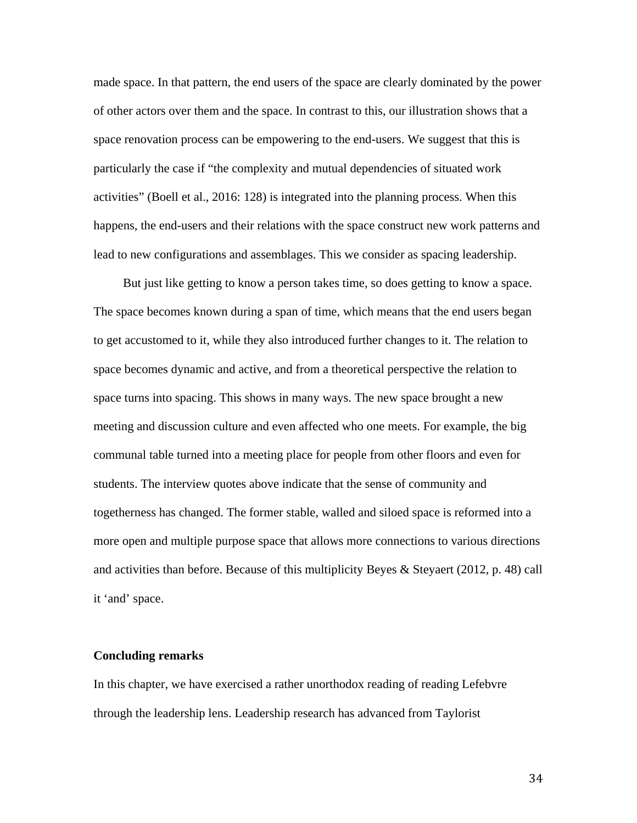made space. In that pattern, the end users of the space are clearly dominated by the power of other actors over them and the space. In contrast to this, our illustration shows that a space renovation process can be empowering to the end-users. We suggest that this is particularly the case if "the complexity and mutual dependencies of situated work activities" (Boell et al., 2016: 128) is integrated into the planning process. When this happens, the end-users and their relations with the space construct new work patterns and lead to new configurations and assemblages. This we consider as spacing leadership.

But just like getting to know a person takes time, so does getting to know a space. The space becomes known during a span of time, which means that the end users began to get accustomed to it, while they also introduced further changes to it. The relation to space becomes dynamic and active, and from a theoretical perspective the relation to space turns into spacing. This shows in many ways. The new space brought a new meeting and discussion culture and even affected who one meets. For example, the big communal table turned into a meeting place for people from other floors and even for students. The interview quotes above indicate that the sense of community and togetherness has changed. The former stable, walled and siloed space is reformed into a more open and multiple purpose space that allows more connections to various directions and activities than before. Because of this multiplicity Beyes & Steyaert (2012, p. 48) call it 'and' space.

### **Concluding remarks**

In this chapter, we have exercised a rather unorthodox reading of reading Lefebvre through the leadership lens. Leadership research has advanced from Taylorist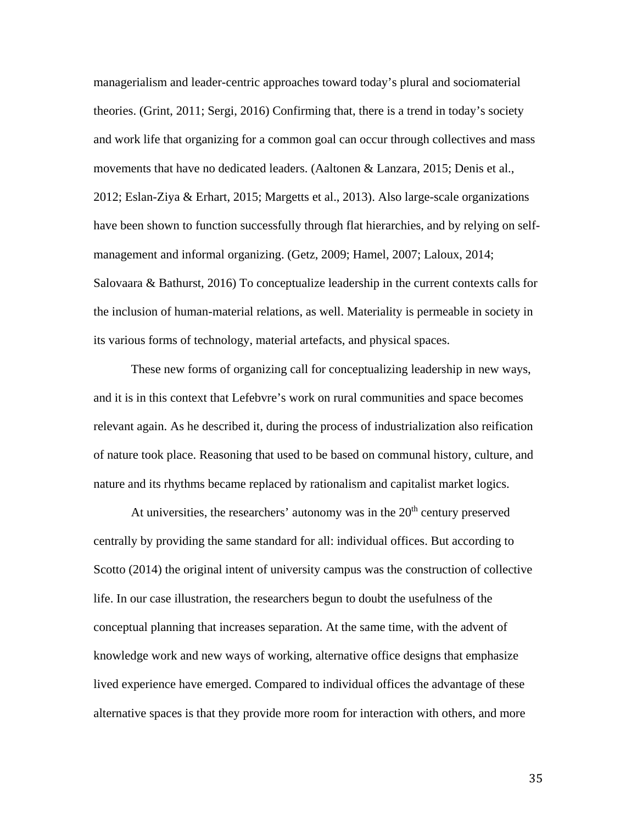managerialism and leader-centric approaches toward today's plural and sociomaterial theories. (Grint, 2011; Sergi, 2016) Confirming that, there is a trend in today's society and work life that organizing for a common goal can occur through collectives and mass movements that have no dedicated leaders. (Aaltonen & Lanzara, 2015; Denis et al., 2012; Eslan-Ziya & Erhart, 2015; Margetts et al., 2013). Also large-scale organizations have been shown to function successfully through flat hierarchies, and by relying on selfmanagement and informal organizing. (Getz, 2009; Hamel, 2007; Laloux, 2014; Salovaara & Bathurst, 2016) To conceptualize leadership in the current contexts calls for the inclusion of human-material relations, as well. Materiality is permeable in society in its various forms of technology, material artefacts, and physical spaces.

These new forms of organizing call for conceptualizing leadership in new ways, and it is in this context that Lefebvre's work on rural communities and space becomes relevant again. As he described it, during the process of industrialization also reification of nature took place. Reasoning that used to be based on communal history, culture, and nature and its rhythms became replaced by rationalism and capitalist market logics.

At universities, the researchers' autonomy was in the  $20<sup>th</sup>$  century preserved centrally by providing the same standard for all: individual offices. But according to Scotto (2014) the original intent of university campus was the construction of collective life. In our case illustration, the researchers begun to doubt the usefulness of the conceptual planning that increases separation. At the same time, with the advent of knowledge work and new ways of working, alternative office designs that emphasize lived experience have emerged. Compared to individual offices the advantage of these alternative spaces is that they provide more room for interaction with others, and more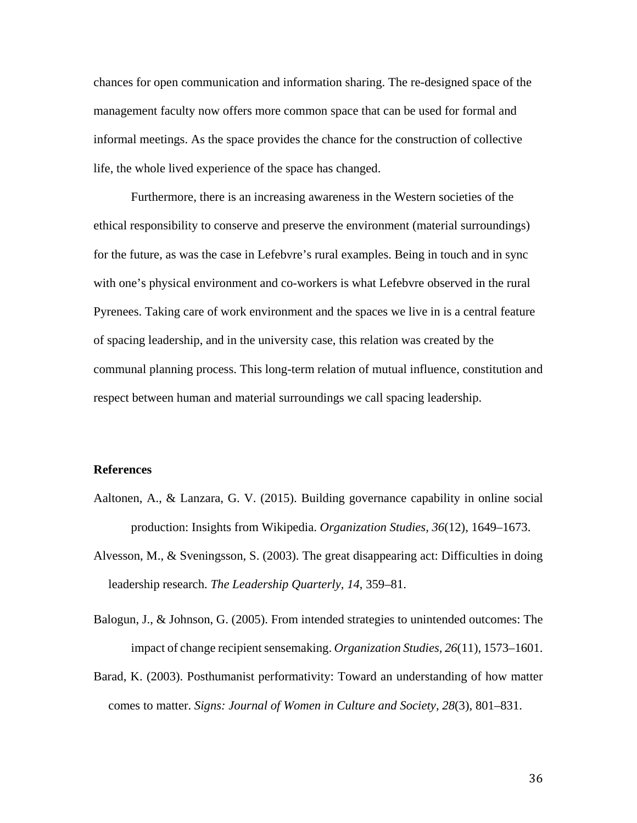chances for open communication and information sharing. The re-designed space of the management faculty now offers more common space that can be used for formal and informal meetings. As the space provides the chance for the construction of collective life, the whole lived experience of the space has changed.

Furthermore, there is an increasing awareness in the Western societies of the ethical responsibility to conserve and preserve the environment (material surroundings) for the future, as was the case in Lefebvre's rural examples. Being in touch and in sync with one's physical environment and co-workers is what Lefebvre observed in the rural Pyrenees. Taking care of work environment and the spaces we live in is a central feature of spacing leadership, and in the university case, this relation was created by the communal planning process. This long-term relation of mutual influence, constitution and respect between human and material surroundings we call spacing leadership.

### **References**

- Aaltonen, A., & Lanzara, G. V. (2015). Building governance capability in online social production: Insights from Wikipedia. *Organization Studies, 36*(12), 1649–1673.
- Alvesson, M., & Sveningsson, S. (2003). The great disappearing act: Difficulties in doing leadership research. *The Leadership Quarterly, 14*, 359–81.
- Balogun, J., & Johnson, G. (2005). From intended strategies to unintended outcomes: The impact of change recipient sensemaking. *Organization Studies, 26*(11), 1573–1601.
- Barad, K. (2003). Posthumanist performativity: Toward an understanding of how matter comes to matter. *Signs: Journal of Women in Culture and Society, 28*(3), 801–831.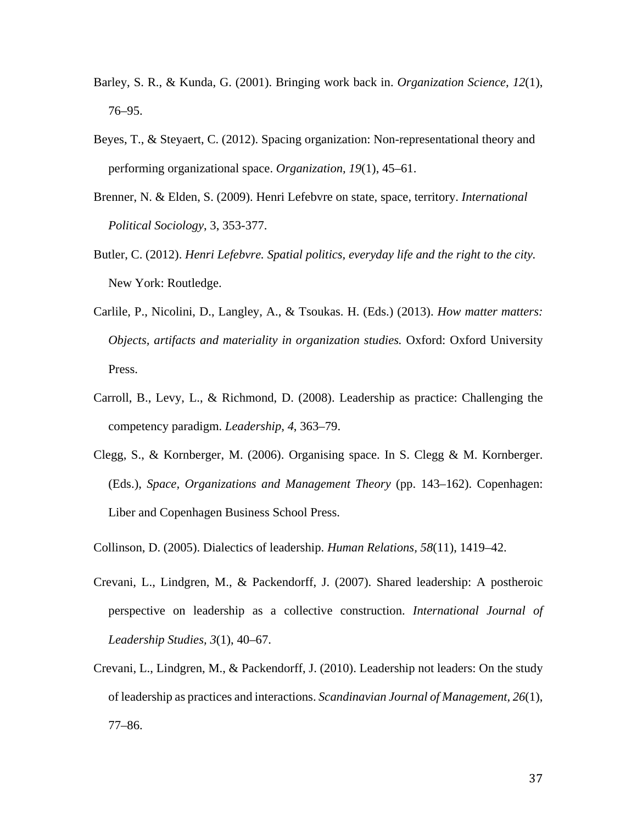- Barley, S. R., & Kunda, G. (2001). Bringing work back in. *Organization Science, 12*(1), 76–95.
- Beyes, T., & Steyaert, C. (2012). Spacing organization: Non-representational theory and performing organizational space. *Organization, 19*(1), 45–61.
- Brenner, N. & Elden, S. (2009). Henri Lefebvre on state, space, territory. *International Political Sociology*, 3, 353-377.
- Butler, C. (2012). *Henri Lefebvre. Spatial politics, everyday life and the right to the city.* New York: Routledge.
- Carlile, P., Nicolini, D., Langley, A., & Tsoukas. H. (Eds.) (2013). *How matter matters: Objects, artifacts and materiality in organization studies.* Oxford: Oxford University Press.
- Carroll, B., Levy, L., & Richmond, D. (2008). Leadership as practice: Challenging the competency paradigm. *Leadership, 4*, 363–79.
- Clegg, S., & Kornberger, M. (2006). Organising space. In S. Clegg & M. Kornberger. (Eds.), *Space, Organizations and Management Theory* (pp. 143–162). Copenhagen: Liber and Copenhagen Business School Press.
- Collinson, D. (2005). Dialectics of leadership. *Human Relations, 58*(11), 1419–42.
- Crevani, L., Lindgren, M., & Packendorff, J. (2007). Shared leadership: A postheroic perspective on leadership as a collective construction. *International Journal of Leadership Studies, 3*(1), 40–67.
- Crevani, L., Lindgren, M., & Packendorff, J. (2010). Leadership not leaders: On the study of leadership as practices and interactions. *Scandinavian Journal of Management, 26*(1), 77–86.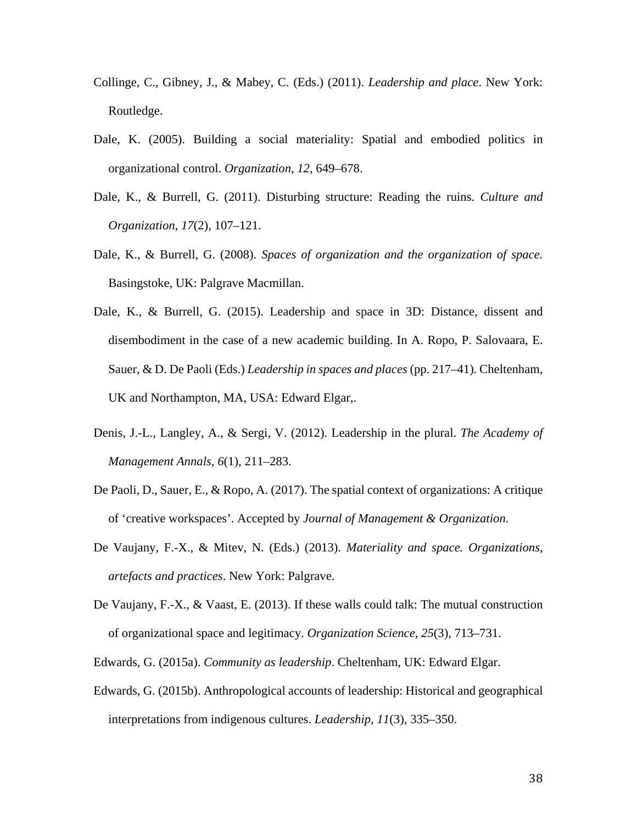- Collinge, C., Gibney, J., & Mabey, C. (Eds.) (2011). *Leadership and place*. New York: Routledge.
- Dale, K. (2005). Building a social materiality: Spatial and embodied politics in organizational control. *Organization, 12*, 649–678.
- Dale, K., & Burrell, G. (2011). Disturbing structure: Reading the ruins. *Culture and Organization, 17*(2), 107–121.
- Dale, K., & Burrell, G. (2008). *Spaces of organization and the organization of space.*  Basingstoke, UK: Palgrave Macmillan.
- Dale, K., & Burrell, G. (2015). Leadership and space in 3D: Distance, dissent and disembodiment in the case of a new academic building. In A. Ropo, P. Salovaara, E. Sauer, & D. De Paoli (Eds.) *Leadership in spaces and places* (pp. 217–41)*.* Cheltenham, UK and Northampton, MA, USA: Edward Elgar,.
- Denis, J.-L., Langley, A., & Sergi, V. (2012). Leadership in the plural. *The Academy of Management Annals, 6*(1), 211–283.
- De Paoli, D., Sauer, E., & Ropo, A. (2017). The spatial context of organizations: A critique of 'creative workspaces'. Accepted by *Journal of Management & Organization*.
- De Vaujany, F.-X., & Mitev, N. (Eds.) (2013). *Materiality and space. Organizations, artefacts and practices*. New York: Palgrave.
- De Vaujany, F.-X., & Vaast, E. (2013). If these walls could talk: The mutual construction of organizational space and legitimacy. *Organization Science, 25*(3), 713–731.
- Edwards, G. (2015a). *Community as leadership*. Cheltenham, UK: Edward Elgar.
- Edwards, G. (2015b). Anthropological accounts of leadership: Historical and geographical interpretations from indigenous cultures. *Leadership, 11*(3), 335–350.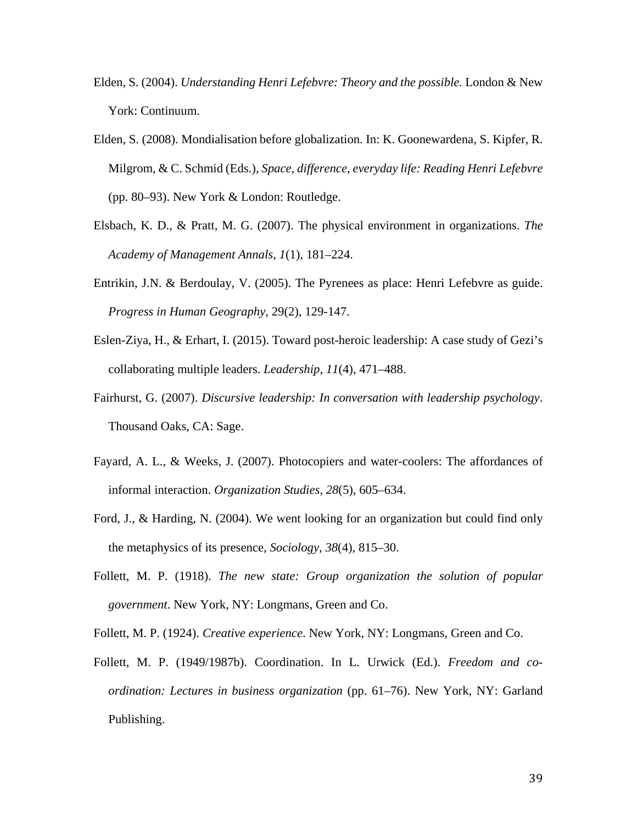- Elden, S. (2004). *Understanding Henri Lefebvre: Theory and the possible.* London & New York: Continuum.
- Elden, S. (2008). Mondialisation before globalization. In: K. Goonewardena, S. Kipfer, R. Milgrom, & C. Schmid (Eds.), *Space, difference, everyday life: Reading Henri Lefebvre* (pp. 80–93). New York & London: Routledge.
- Elsbach, K. D., & Pratt, M. G. (2007). The physical environment in organizations. *The Academy of Management Annals*, *1*(1), 181–224.
- Entrikin, J.N. & Berdoulay, V. (2005). The Pyrenees as place: Henri Lefebvre as guide. *Progress in Human Geography*, 29(2), 129-147.
- Eslen-Ziya, H., & Erhart, I. (2015). Toward post-heroic leadership: A case study of Gezi's collaborating multiple leaders. *Leadership, 11*(4), 471–488.
- Fairhurst, G. (2007). *Discursive leadership: In conversation with leadership psychology*. Thousand Oaks, CA: Sage.
- Fayard, A. L., & Weeks, J. (2007). Photocopiers and water-coolers: The affordances of informal interaction. *Organization Studies, 28*(5), 605–634.
- Ford, J., & Harding, N. (2004). We went looking for an organization but could find only the metaphysics of its presence, *Sociology*, *38*(4), 815–30.
- Follett, M. P. (1918). *The new state: Group organization the solution of popular government*. New York, NY: Longmans, Green and Co.
- Follett, M. P. (1924). *Creative experience*. New York, NY: Longmans, Green and Co.
- Follett, M. P. (1949/1987b). Coordination. In L. Urwick (Ed.). *Freedom and coordination: Lectures in business organization* (pp. 61–76). New York, NY: Garland Publishing.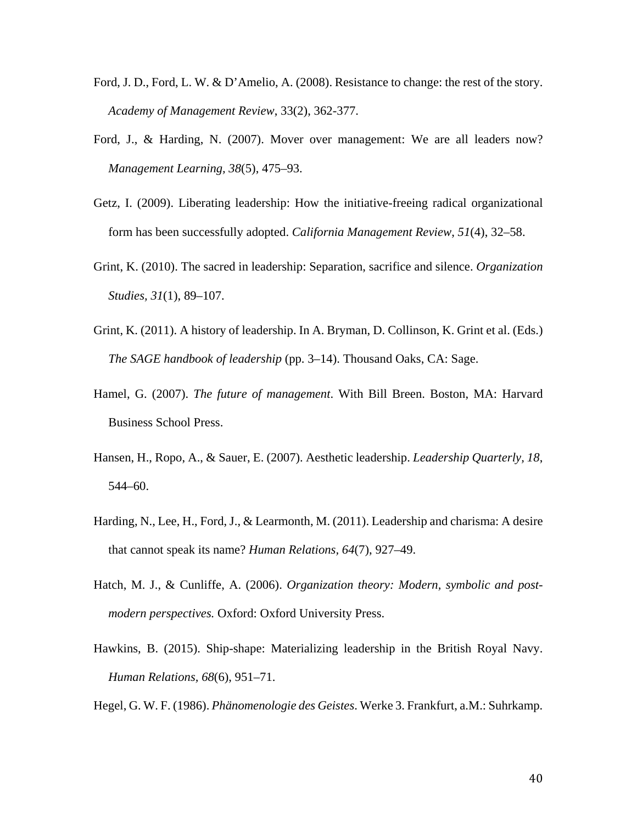- Ford, J. D., Ford, L. W. & D'Amelio, A. (2008). Resistance to change: the rest of the story. *Academy of Management Review*, 33(2), 362-377.
- Ford, J., & Harding, N. (2007). Mover over management: We are all leaders now? *Management Learning, 38*(5), 475–93.
- Getz, I. (2009). Liberating leadership: How the initiative-freeing radical organizational form has been successfully adopted. *California Management Review*, *51*(4), 32–58.
- Grint, K. (2010). The sacred in leadership: Separation, sacrifice and silence. *Organization Studies, 31*(1), 89–107.
- Grint, K. (2011). A history of leadership. In A. Bryman, D. Collinson, K. Grint et al. (Eds.) *The SAGE handbook of leadership* (pp. 3–14). Thousand Oaks, CA: Sage.
- Hamel, G. (2007). *The future of management*. With Bill Breen. Boston, MA: Harvard Business School Press.
- Hansen, H., Ropo, A., & Sauer, E. (2007). Aesthetic leadership. *Leadership Quarterly, 18*, 544–60.
- Harding, N., Lee, H., Ford, J., & Learmonth, M. (2011). Leadership and charisma: A desire that cannot speak its name? *Human Relations, 64*(7), 927–49.
- Hatch, M. J., & Cunliffe, A. (2006). *Organization theory: Modern, symbolic and postmodern perspectives.* Oxford: Oxford University Press.
- Hawkins, B. (2015). Ship-shape: Materializing leadership in the British Royal Navy. *Human Relations, 68*(6), 951–71.
- Hegel, G. W. F. (1986). *Phänomenologie des Geistes*. Werke 3. Frankfurt, a.M.: Suhrkamp.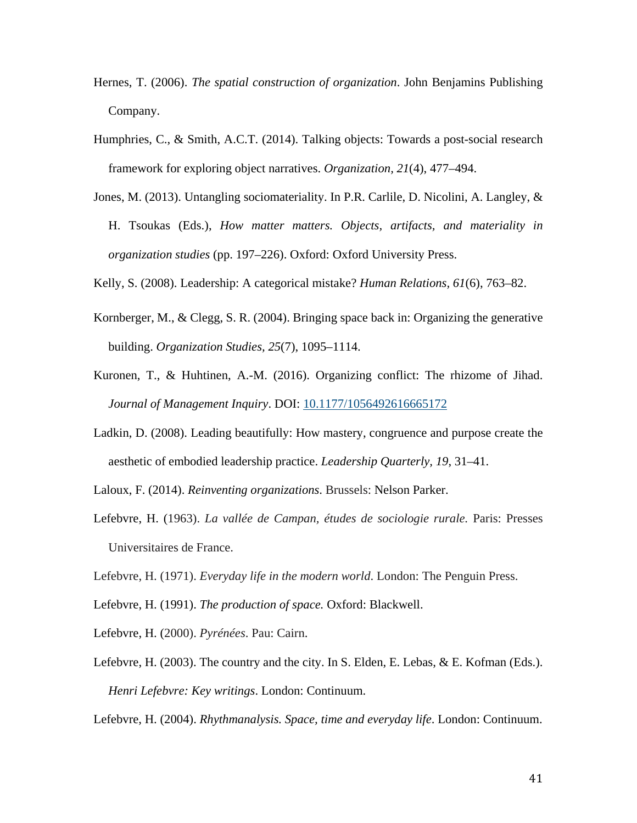- Hernes, T. (2006). *The spatial construction of organization*. John Benjamins Publishing Company.
- Humphries, C., & Smith, A.C.T. (2014). Talking objects: Towards a post-social research framework for exploring object narratives. *Organization, 21*(4), 477–494.
- Jones, M. (2013). Untangling sociomateriality. In P.R. Carlile, D. Nicolini, A. Langley, & H. Tsoukas (Eds.), *How matter matters. Objects, artifacts, and materiality in organization studies* (pp. 197–226). Oxford: Oxford University Press.

Kelly, S. (2008). Leadership: A categorical mistake? *Human Relations, 61*(6), 763–82.

- Kornberger, M., & Clegg, S. R. (2004). Bringing space back in: Organizing the generative building. *Organization Studies, 25*(7), 1095–1114.
- Kuronen, T., & Huhtinen, A.-M. (2016). Organizing conflict: The rhizome of Jihad. *Journal of Management Inquiry*. DOI: [10.1177/1056492616665172](http://dx.doi.org/10.1177/1056492616665172)
- Ladkin, D. (2008). Leading beautifully: How mastery, congruence and purpose create the aesthetic of embodied leadership practice. *Leadership Quarterly, 19*, 31–41.
- Laloux, F. (2014). *Reinventing organizations*. Brussels: Nelson Parker.
- Lefebvre, H. (1963). *La vallée de Campan, études de sociologie rurale*. Paris: Presses Universitaires de France.
- Lefebvre, H. (1971). *Everyday life in the modern world*. London: The Penguin Press.
- Lefebvre, H. (1991). *The production of space.* Oxford: Blackwell.
- Lefebvre, H. (2000). *Pyrénées*. Pau: Cairn.
- Lefebvre, H. (2003). The country and the city. In S. Elden, E. Lebas, & E. Kofman (Eds.). *Henri Lefebvre: Key writings*. London: Continuum.

Lefebvre, H. (2004). *Rhythmanalysis. Space, time and everyday life*. London: Continuum.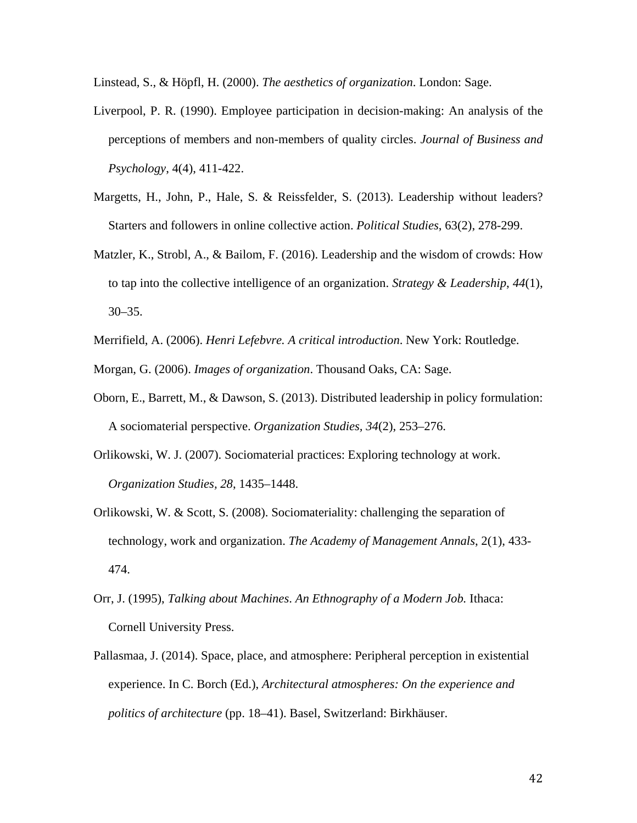Linstead, S., & Höpfl, H. (2000). *The aesthetics of organization*. London: Sage.

- Liverpool, P. R. (1990). Employee participation in decision-making: An analysis of the perceptions of members and non-members of quality circles. *Journal of Business and Psychology*, 4(4), 411-422.
- Margetts, H., John, P., Hale, S. & Reissfelder, S. (2013). Leadership without leaders? Starters and followers in online collective action. *Political Studies*, 63(2), 278-299.
- Matzler, K., Strobl, A., & Bailom, F. (2016). Leadership and the wisdom of crowds: How to tap into the collective intelligence of an organization. *Strategy & Leadership*, *44*(1), 30–35.
- Merrifield, A. (2006). *Henri Lefebvre. A critical introduction*. New York: Routledge.
- Morgan, G. (2006). *Images of organization*. Thousand Oaks, CA: Sage.
- Oborn, E., Barrett, M., & Dawson, S. (2013). Distributed leadership in policy formulation: A sociomaterial perspective. *Organization Studies, 34*(2), 253–276.
- Orlikowski, W. J. (2007). Sociomaterial practices: Exploring technology at work. *Organization Studies, 28*, 1435–1448.
- Orlikowski, W. & Scott, S. (2008). Sociomateriality: challenging the separation of technology, work and organization. *The Academy of Management Annals*, 2(1), 433- 474.
- Orr, J. (1995), *Talking about Machines*. *An Ethnography of a Modern Job.* Ithaca: Cornell University Press.
- Pallasmaa, J. (2014). Space, place, and atmosphere: Peripheral perception in existential experience. In C. Borch (Ed.), *Architectural atmospheres: On the experience and politics of architecture* (pp. 18–41). Basel, Switzerland: Birkhäuser.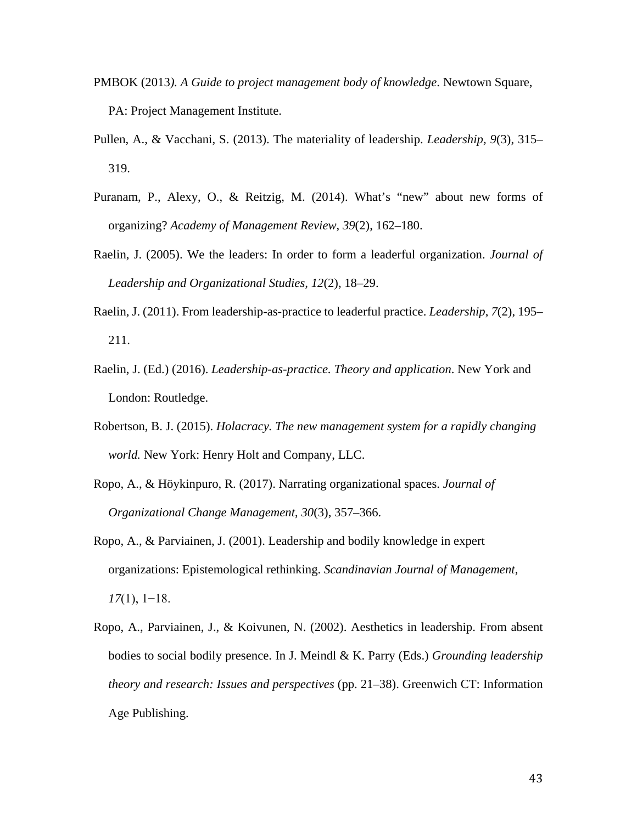- PMBOK (2013*). A Guide to project management body of knowledge*. Newtown Square, PA: Project Management Institute.
- Pullen, A., & Vacchani, S. (2013). The materiality of leadership. *Leadership, 9*(3), 315– 319.
- Puranam, P., Alexy, O., & Reitzig, M. (2014). What's "new" about new forms of organizing? *Academy of Management Review*, *39*(2), 162–180.
- Raelin, J. (2005). We the leaders: In order to form a leaderful organization. *Journal of Leadership and Organizational Studies, 12*(2), 18–29.
- Raelin, J. (2011). From leadership-as-practice to leaderful practice. *Leadership*, *7*(2), 195– 211.
- Raelin, J. (Ed.) (2016). *Leadership-as-practice. Theory and application*. New York and London: Routledge.
- Robertson, B. J. (2015). *Holacracy. The new management system for a rapidly changing world.* New York: Henry Holt and Company, LLC.
- Ropo, A., & Höykinpuro, R. (2017). Narrating organizational spaces. *Journal of Organizational Change Management*, *30*(3), 357–366.
- Ropo, A., & Parviainen, J. (2001). Leadership and bodily knowledge in expert organizations: Epistemological rethinking. *Scandinavian Journal of Management*, *17*(1), 1−18.
- Ropo, A., Parviainen, J., & Koivunen, N. (2002). Aesthetics in leadership. From absent bodies to social bodily presence. In J. Meindl & K. Parry (Eds.) *Grounding leadership theory and research: Issues and perspectives* (pp. 21–38). Greenwich CT: Information Age Publishing.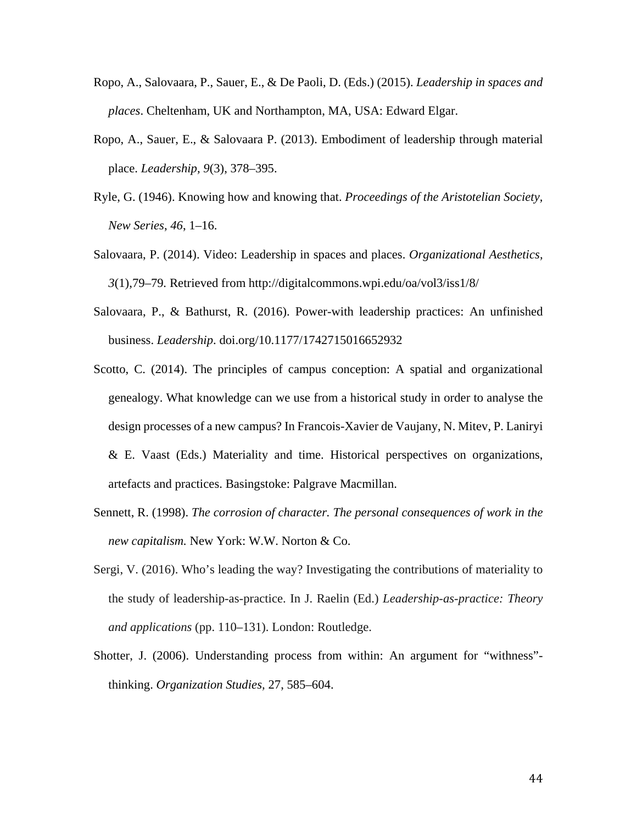- Ropo, A., Salovaara, P., Sauer, E., & De Paoli, D. (Eds.) (2015). *Leadership in spaces and places*. Cheltenham, UK and Northampton, MA, USA: Edward Elgar.
- Ropo, A., Sauer, E., & Salovaara P. (2013). Embodiment of leadership through material place. *Leadership, 9*(3), 378–395.
- Ryle, G. (1946). Knowing how and knowing that. *Proceedings of the Aristotelian Society, New Series*, *46*, 1–16.
- Salovaara, P. (2014). Video: Leadership in spaces and places. *Organizational Aesthetics, 3*(1),79–79*.* Retrieved from <http://digitalcommons.wpi.edu/oa/vol3/iss1/8/>
- Salovaara, P., & Bathurst, R. (2016). Power-with leadership practices: An unfinished business. *Leadership*. [doi.org/10.1177/1742715016652932](https://doi.org/10.1177/1742715016652932)
- Scotto, C. (2014). The principles of campus conception: A spatial and organizational genealogy. What knowledge can we use from a historical study in order to analyse the design processes of a new campus? In Francois-Xavier de Vaujany, N. Mitev, P. Laniryi & E. Vaast (Eds.) Materiality and time. Historical perspectives on organizations, artefacts and practices. Basingstoke: Palgrave Macmillan.
- Sennett, R. (1998). *The corrosion of character. The personal consequences of work in the new capitalism.* New York: W.W. Norton & Co.
- Sergi, V. (2016). Who's leading the way? Investigating the contributions of materiality to the study of leadership-as-practice. In J. Raelin (Ed.) *Leadership-as-practice: Theory and applications* (pp. 110–131). London: Routledge.
- Shotter, J. (2006). Understanding process from within: An argument for "withness" thinking. *Organization Studies,* 27, 585–604.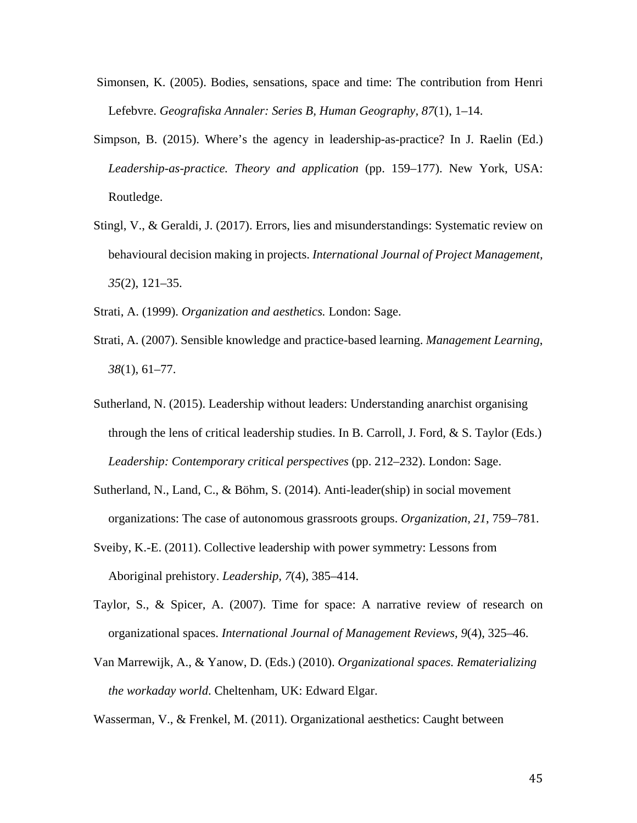- Simonsen, K. (2005). Bodies, sensations, space and time: The contribution from Henri Lefebvre. *Geografiska Annaler: Series B, Human Geography, 87*(1), 1–14.
- Simpson, B. (2015). Where's the agency in leadership-as-practice? In J. Raelin (Ed.) *Leadership-as-practice. Theory and application* (pp. 159–177). New York, USA: Routledge.
- Stingl, V., & Geraldi, J. (2017). Errors, lies and misunderstandings: Systematic review on behavioural decision making in projects. *International Journal of Project Management, 35*(2), 121–35.
- Strati, A. (1999). *Organization and aesthetics.* London: Sage.
- Strati, A. (2007). Sensible knowledge and practice-based learning. *Management Learning*, *38*(1), 61–77.
- Sutherland, N. (2015). Leadership without leaders: Understanding anarchist organising through the lens of critical leadership studies. In B. Carroll, J. Ford, & S. Taylor (Eds.) *Leadership: Contemporary critical perspectives* (pp. 212–232). London: Sage.
- Sutherland, N., Land, C., & Böhm, S. (2014). Anti-leader(ship) in social movement organizations: The case of autonomous grassroots groups. *Organization, 21*, 759–781.
- Sveiby, K.-E. (2011). Collective leadership with power symmetry: Lessons from Aboriginal prehistory. *Leadership, 7*(4), 385–414.
- Taylor, S., & Spicer, A. (2007). Time for space: A narrative review of research on organizational spaces. *International Journal of Management Reviews, 9*(4), 325–46.
- Van Marrewijk, A., & Yanow, D. (Eds.) (2010). *Organizational spaces. Rematerializing the workaday world*. Cheltenham, UK: Edward Elgar.

Wasserman, V., & Frenkel, M. (2011). Organizational aesthetics: Caught between